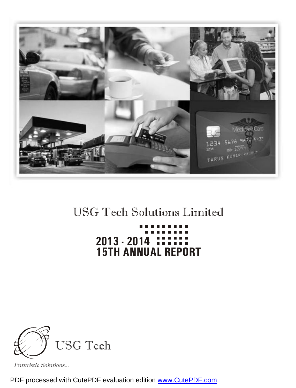

## USG Tech Solutions Limited

# **15TH ANNUAL REPORT 2013 - 2014**



Futuristic Solutions...

PDF processed with CutePDF evaluation edition [www.CutePDF.com](http://www.cutepdf.com)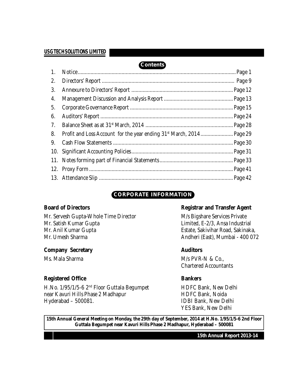### **Contents**

| 1. |  |
|----|--|
| 2. |  |
| 3. |  |
| 4. |  |
| 5. |  |
| 6. |  |
| 7. |  |
| 8. |  |
| 9. |  |
|    |  |
|    |  |
|    |  |
|    |  |

### **CORPORATE INFORMATION**

Mr. Servesh Gupta-Whole Time Director M/s Bigshare Services Private Mr. Satish Kumar Gupta Limited, E-2/3, Ansa Industrial Mr. Anil Kumar Gupta **Estate, Sakivihar Road, Sakinaka**, Mr. Umesh Sharma **Andheri (East), Mumbai - 400 072** 

#### **Company** Secretary **Auditors Auditors**

#### **Registered Office Bankers**

H.No. 1/95/1/5-6 2<sup>nd</sup> Floor Guttala Begumpet **HDFC Bank, New Delhi** near Kavuri Hills Phase 2 Madhapur **HDFC Bank, Noida** Hyderabad – 500081. IDBI Bank, New Delhi

#### **Board** of Directors **Registrar** and **Transfer** Agent

Ms. Mala Sharma M/s PVR-N & Co., Chartered Accountants

YES Bank, New Delhi

**15th Annual General Meeting on Monday, the 29th day of September, 2014 at H.No. 1/95/1/5-6 2nd Floor Guttala Begumpet near Kavuri Hills Phase 2 Madhapur, Hyderabad – 500081**

**15th Annual Report 2013-14**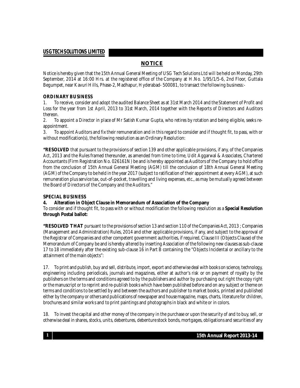#### **NOTICE**

Notice is hereby given that the 15th Annual General Meeting of USG Tech Solutions Ltd will be held on Monday, 29th September, 2014 at 16:00 Hrs. at the registered office of the Company at H.No. 1/95/1/5-6, 2nd Floor, Guttala Begumpet, near Kavuri Hills, Phase-2, Madhapur, Hyderabad- 500081, to transact thefollowing business:-

#### **ORDINARY BUSINESS**

1. To receive, consider and adopt the audited Balance Sheet as at 31st March 2014 and the Statement of Profit and Loss for the year from 1st April, 2013 to 31st March, 2014 together with the Reports of Directors and Auditors thereon.

2. To appoint a Director in place of Mr Satish Kumar Gupta, who retires by rotation and being eligible, seeks reappointment.

3. To appoint Auditors and fix their remuneration and in this regard to consider and if thought fit, to pass, with or without modification(s), the following resolution as an Ordinary Resolution:

**"RESOLVED** that pursuant to the provisions of section 139 and other applicable provisions, if any, of the Companies Act, 2013 and the Rules framed thereunder, as amended from time to time, Udit Aggarwal & Associates, Chartered Accountants (Firm Registration No. 026161N) be and is hereby appointed as Auditors of the Company to hold office from the conclusion of 15th Annual General Meeting (AGM) till the conclusion of 18th Annual General Meeting (AGM) of the Company to be held in the year 2017 (subject to ratification of their appointment at every AGM), at such remuneration plus service tax, out-of-pocket, travelling and living expenses,etc., as may be mutually agreed between the Board of Directors of the Company and the Auditors."

#### **SPECIAL BUSINESS**

#### **4. Alteration in Object Clause in Memorandum of Association of the Company**

#### To consider and if thought fit, to pass with or without modification the following resolution as a **Special Resolution through Postal ballot:**

**"RESOLVED THAT** pursuant to the provisions of section 13 and section 110 of the Companies Act, 2013 ; Companies (Management and Administration) Rules, 2014 and other applicable provisions, if any, and subject to the approval of the Registrar of Companies and other competent government authorities, if required, Clause III (Objects Clause) of the Memorandum of Company be and is hereby altered by inserting Association of the following new clauses as sub-clause 17 to 18 immediately after the existing sub-clause 16 in Part B containing the "Objects Incidental or ancillary to the attainment of the main objects":

17. To print and publish, buy and sell, distribute, import,export and otherwise deal with books on science, technology, engineering including periodicals, journals and magazines, either at author's risk or on payment of royalty by the publishers on the terms and conditions agreed to by the publishers and author by purchasing out right the copy right or the manuscript or to reprint and re-publish books which have been published before and on any subject or theme on terms and conditions to be settled by and between the authors and publisher to market books, printed and published either by the company or others and publications of newspaper and house magazine, maps, charts, literature for children, brochures and similar works and to print paintings and photographs in black and white or in colors.

18. To invest the capital and other money of the company in the purchase or upon the security of and to buy, sell, or otherwise deal in shares, stocks, units, debentures, debenture stock bonds, mortgages, obligations and securities of any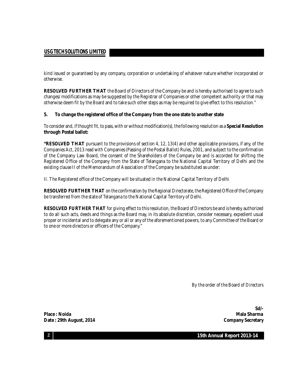kind issued or guaranteed by any company, corporation or undertaking of whatever nature whether incorporated or otherwise.

**RESOLVED FURTHER THAT** the Board of Directors of the Company be and is hereby authorised to agree to such changes/ modifications as may be suggested by the Registrar of Companies or other competent authority or that may otherwise deem fit by the Board and to take such other steps as may be required to give effect to this resolution."

#### **5. To change the registered office of the Company from the one state to another state**

To consider and, if thought fit, to pass, with or without modification(s), the following resolution as a **Special Resolution through Postal ballot:**

**"RESOLVED THAT** pursuant to the provisions of section 4, 12, 13(4) and other applicable provisions, if any, of the Companies Act, 2013 read with Companies (Passing of the Postal Ballot) Rules, 2001, and subject to the confirmation of the Company Law Board, the consent of the Shareholders of the Company be and is accorded for shifting the Registered Office of the Company from the State of Telangana to the National Capital Territory of Delhi and the existing clause II of the Memorandum of Association of the Company be substituted as under:

II. The Registered office of the Company will be situated in the National Capital Territory of Delhi

**RESOLVED FURTHER THAT** on the confirmation by the Regional Directorate, the Registered Office of the Company be transferred from the state of Telangana to the National Capital Territory of Delhi.

**RESOLVED FURTHER THAT** for giving effect to this resolution, the Board of Directors be and is hereby authorized to do all such acts, deeds and things as the Board may, in its absolute discretion, consider necessary, expedient usual proper or incidental and to delegate any or all or any of the aforementioned powers, to any Committee of the Board or to one or more directors or officers of the Company."

By the order of the Board of Directors

**Place : Noida Mala Sharma Date : 29th August, 2014 Company Secretary**

**Sd/-**

**15th Annual Report 2013-14**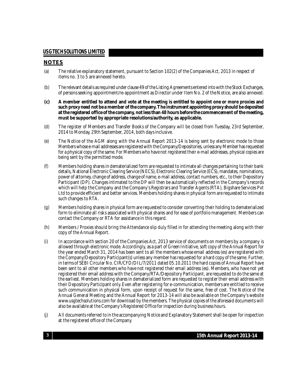#### **NOTES**

- (a) The relative explanatory statement, pursuant to Section 102(2) of the Companies Act, 2013 in respect of items no. 3 to 5 are annexed hereto.
- (b) Therelevant details asrequired underclause 49 of the Listing Agreementsentered intowith the Stock Exchanges, of persons seeking appointment/re-appointment as Director under Item No. 2 of the Notice, are also annexed.
- (c) A member entitled to attend and vote at the meeting is entitled to appoint one or more proxies and **such proxy need not be a member of the company. The instrument appointing proxy should be deposited at the registered office of the company, not lessthan 48 hours before the commencement of the meeting, must be supported by appropriate resolutions/authority, as applicable.**
- (d) The register of Members and Transfer Books of the Company will be closed from Tuesday, 23rd September, 2014 to Monday, 29th September, 2014, both days inclusive.
- (e) The Notice of the AGM along with the Annual Report 2013-14 is being sent by electronic mode to those Members whose e-mail addresses are registered with the Company/Depositories, unless any Member has requested for a physical copy of the same. For Members who have not registered their e-mail addresses, physical copies are being sent by the permitted mode.
- (f) Members holding shares in dematerialized form are requested to intimate all changes pertaining to their bank details, National Electronic Clearing Service(NECS), Electronic Clearing Service (ECS), mandates, nominations, power of attorney, change of address, change of name, e-mail address, contact numbers, etc., to their Depository Participant (DP). Changes intimated to the DP will then be automatically reflected in the Company's records which will help the Company and the Company's Registrars and Transfer Agents (RTA), Bigshare Services Pvt Ltd to provide efficient and better services. Members holding shares in physical form are requested to intimate such changes to RTA.
- (g) Members holding shares in physical form are requested to consider converting their holding to dematerialized form to eliminate all risks associated with physical shares and forease of portfolio management. Members can contact the Company or RTA for assistance in this regard.
- (h) Members / Proxies should bring the Attendance slip duly filled in for attending the meeting along with their copy of the Annual Report.
- (i) In accordance with section 20 of the Companies Act, 2013 service of documents on members by a company is allowed through electronic mode. Accordingly, as a part of Green Initiative, softcopy of the Annual Report for the year ended March 31, 2014 has been sent to all the members whose email address (es) are registered with the Company/Depository Participant(s) unless any member has requested for a hard copy of the same. Further, in terms of SEBI Circular No. CIR/CFD/DIL/7/2011 dated 05.10.2011 the hard copies of Annual Report have been sent to all other members who have not registered their email address (es). Members, who have not yet registered their email address with the Company/RTA/Depository Participant, are requested to do the same at the earliest. Members holding shares in dematerialized form are requested to register their email address with their Depository Participant only. Even after registering fore-communication, members are entitled to receive such communication in physical form, upon receipt of request for the same, free of cost. The Notice of the Annual General Meeting and the Annual Report for 2013-14 will also be available on the Company's website [www.usgtechsolutions.com](http://www.usgtechsolutions.com) for download by the members. The physical copies of the aforesaid documents will also be available at the Company's Registered Office for inspection during business hours.
- (j) All documents referred to in the accompanying Notice and Explanatory Statement shall be open for inspection at the registered office of the Company.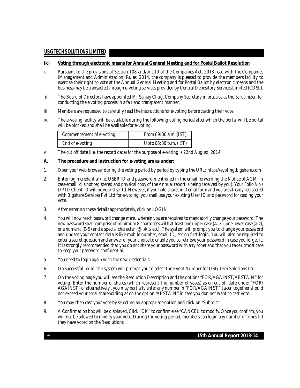#### **(k) Voting through electronic means for Annual General Meeting and for Postal Ballot Resolution**

- i. Pursuant to the provisions of Section 108 and/or 110 of the Companies Act, 2013 read with the Companies (Management and Administration) Rules, 2014, the company is pleased to provide the members facility to exercise their right to vote at the Annual General Meeting and for Postal Ballot by electronic means and the business may be transacted through e-voting services provided by Central Depository Services Limited (CDSL).
- ii. The Board of Directors have appointed Mr Sanjay Chug, Company Secretary in practice as the Scrutinizer, for conducting the e voting process in a fair and transparent manner.
- iii. Members are requested to carefully read the instructions fore-voting before casting their vote.
- iv. The e-voting facility will be available during the following voting period after which the portal will be portal will be blocked and shall be available for e-voting.

| Commencement of e-voting | From 09:00 a.m. (IST) |
|--------------------------|-----------------------|
| End of e-voting          | Upto 06:00 p.m. (IST) |

v. The cut off date (i.e. the record date) for the purpose of e-voting is 22nd August, 2014.

#### **A. The procedure and instruction for e-voting are as under:**

- 1. Open your web browser during the voting period by period by typing the URL: https//evoting.bigshare.com
- 2. Enter login credential (i.e. USER ID and password mentioned in the email forwarding the Notice of AGM, in case email Id is not registered and physical copy of the Annual report is being received by you). Your Folio No./ DP ID Client ID will be your User Id. However, if you hold shares in Demat form and you are already registered with Bigshare Services Pvt Ltd fore-voting, you shall use your existing User ID and password for casting your vote.
- 3. After entering these details appropriately, click on LOGIN.
- 4. You will now reach password change menu wherein you are required to mandatorily change your password. The new password shall comprise of minimum 8 characters with at least one uppercase (A-Z), one lower case (a-z), one numeric (0-9) and a special character ( $@$ ,  $#$ , $\$$  etc). The system will prompt you to change your password and update your contact details like mobile number, email ID, etc on first login. You will also be required to enter a secret question and answer of your choice to enable you to retrieve your password in case you forget it. It is strongly recommended that you do not share your password with any other and that you take utmost care to keep your password confidential.
- 5. You need to login again with the new credentials.
- 6. On successful login, the system will prompt you to select the Event Number for USG Tech Solutions Ltd.
- 7. On the voting page you will see the Resolution Description and the options "FOR/AGAINST/ABSTAIN" for voting. Enter the number of shares (which represent the number of votes) as on cut off date under "FOR/ AGAINST" or alternatively , you may partially enter any number in "FOR/AGAINST" taken together should not exceed your total shareholding as on the option "ABSTAIN" in case you don not want to cast vote.
- 8. You may then cast your vote by selecting an appropriate option and click on "Submit".
- 9. A Confirmation box will be displayed, Click "OK" to confirm else "CANCEL" to modify. Once you confirm, you will not be allowed to modify your vote. During the voting period, members can login any number of times till they have voted on the Resolutions.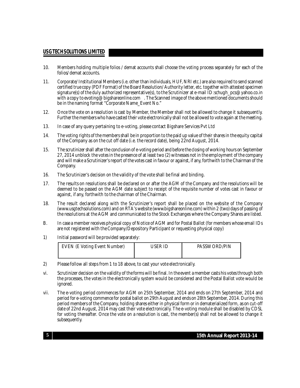- 10. Members holding multiple folios / demat accounts shall choose the voting process separately for each of the folios/ demat accounts.
- 11. Corporate/ Institutional Members (i.e. other than individuals, HUF, NRIetc.) are also required to send scanned certified truecopy (PDF Format) of the Board Resolution/ Authority letter,etc.together with attested specimen signature(s) of the duly authorized representative(s), to the Scrutinizer at e-mail ID:schugh\_pcs@yahoo.co.in with a copy to [evoting@bigshareonline.com](mailto:evoting@bigshareonline.com) . The Scanned image of the above mentioned documents should be in the naming format "Corporate Name Event No."
- 12. Once the vote on a resolution is cast by Member, the Member shall not be allowed to change it subsequently. Further the members who have casted their vote electronically shall not be allowed to vote again at the meeting.
- 13. In case of any query pertaining to e-voting, please contact Bigshare Services Pvt Ltd
- 14. The voting rights of the members shall bein proportion to the paid up value of their shares in theequity capital of the Company as on the cut off date (i.e. the record date), being 22nd August, 2014.
- 15. The scrutinizer shall after the conclusion of e-voting period and before the closing of working hours on September 27, 2014 unblock the votes in the presence of at least two (2) witnesses not in theemployment of the company and will make a Scrutinizer's report of the votes cast in favour or against, if any, forthwith to the Chairman of the Company.
- 16. The Scrutinizer's decision on the validity of the vote shall be final and binding.
- 17. The results on resolutions shall be declared on or after the AGM of the Company and the resolutions will be deemed to be passed on the AGM date subject to receipt of the requisite number of votes cast in favour or against, if any, forthwith to the chairman of the Chairman.
- 18. The result declared along with the Scrutinizer's report shall be placed on the website of the Company (www.usgtechsolutions.com) and on RTA's website[\(www.bigshareonline.com\)](http://www.bigshareonline.com)) within 2 (two) days of passing of the resolutions at the AGM and communicated to the Stock Exchanges where the Company Shares are listed.
- B. In case a member receives physical copy of Notice of AGM and for Postal Ballot (for members whose email IDs are not registered with the Company/Depository Participant or requesting physical copy)
- 1) Initial password will be provided separately:

| <b>EVEN (E Voting Event Number)</b> | JSER ID | PASSWORD/PIN |
|-------------------------------------|---------|--------------|
|                                     |         |              |

- 2) Please follow all steps from 1 to 18 above, to cast your vote electronically.
- vi. Scrutinizer decision on the validity of theforms will be final.In theevent a member casts his votes through both the processes, the votes in the electronically system would be considered and the Postal Ballot vote would be ignored.
- vii. The e-voting period commences for AGM on 25th September, 2014 and ends on 27th September, 2014 and period fore-voting commencefor postal ballot on 29th August and ends on 28th September, 2014. During this period members of the Company, holding shareseither in physical form or in dematerialized form, as on cut-off date of 22nd August, 2014 may cast their vote electronically. The e-voting module shall be disabled by CDSL for voting thereafter. Once the vote on a resolution is cast, the member(s) shall not be allowed to change it subsequently.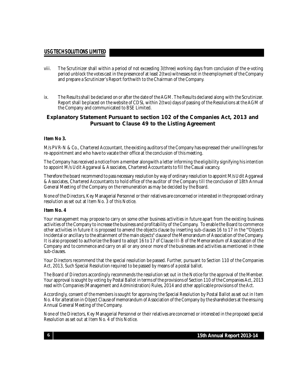- viii. The Scrutinizer shall within a period of not exceeding 3(three) working days from conclusion of the e-voting period unblock the votes cast in the presence of at least 2(two) witnesses not in the employment of the Company and prepare a Scrutinizer's Report forthwith to the Chairman of the Company.
- ix. The Results shall be declared on or after the date of the AGM. The Results declared along with the Scrutinizer. Report shall be placed on the website of CDSL within 2(two) days of passing of the Resolutions at the AGM of the Company and communicated to BSE Limited.

#### **Explanatory Statement Pursuant to section 102 of the Companies Act, 2013 and Pursuant to Clause 49 to the Listing Agreement**

#### **Item No 3.**

M/s PVR-N & Co., Chartered Accountant, the existing auditors of the Company hasexpressed their unwillingness for re-appointment and who have to vacate their office at the conclusion of this meeting.

The Company has received a notice from a member alongwith a letter informing the eligibility signifying his intention to appoint M/s Udit Aggarwal & Associates, Chartered Accountants to fill the Casual vacancy.

Therefore the board recommend to pass necessary resolution by way of ordinary resolution to appoint M/s Udit Aggarwal & Associates, Chartered Accountants to hold office of the auditor of the Company till the conclusion of 18th Annual General Meeting of the Company on the remuneration as may be decided by the Board.

None of the Directors, Key Managerial Personnel or their relatives are concerned or interested in the proposed ordinary resolution as set out at Item No. 3 of this Notice.

#### **Item No. 4**

Your management may propose to carry on some other business activities in future apart from the existing business activities of the Company to increase the business and profitability of the Company. To enablethe Board to commence other activities in future it is proposed to amend the objects clause by inserting sub-clauses 16 to 17 in the '"Objects Incidental or ancillary to the attainment of the main objects" clause of the Memorandum of Association of the Company. It is also proposed to authorize the Board to adopt 16 to 17 of Clause III-B of the Memorandum of Association of the Company and to commence and carry on all or any one or more of the businesses and activities as mentioned in these sub-clauses.

Your Directors recommend that the special resolution be passed. Further, pursuant to Section 110 of the Companies Act, 2013, Such Special Resolution required to be passed by means of a postal ballot.

The Board of Directors accordingly recommends the resolution set out in the Notice for the approval of the Member. Your approval is sought by voting by Postal Ballot in terms of the provisions of Section 110 of the Companies Act, 2013 read with Companies (Management and Administration) Rules, 2014 and other applicable provisions of the Act.

Accordingly, consent of the members is sought for approving the Special Resolution by Postal Ballot as set out in Item No. 4 for alteration in Object Clause of memorandum of Association of the Company by theshareholders at theensuing Annual General Meeting of the Company.

None of the Directors, Key Managerial Personnel or their relatives areconcerned or interested in the proposed special Resolution as set out at Item No. 4 of this Notice.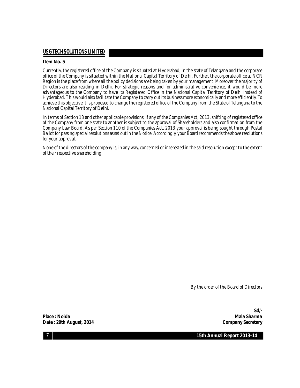#### **Item No. 5**

Currently, the registered office of the Company is situated at Hyderabad, in the state of Telangana and the corporate office of the Company is situated within the National Capital Territory of Delhi. Further, the corporate office at NCR Region is the placefrom where all the policy decisions are being taken by your management. Moreover the majority of Directors are also residing in Delhi. For strategic reasons and for administrative convenience, it would be more advantageous to the Company to have its Registered Office in the National Capital Territory of Delhi instead of Hyderabad. This would also facilitate the Company to carry out its business more economically and more efficiently. To achieve this objective it is proposed to change the registered office of the Company from the State of Telangana to the National Capital Territory of Delhi.

In terms of Section 13 and other applicable provisions, if any of the Companies Act, 2013, shifting of registered office of the Company from one state to another is subject to the approval of Shareholders and also confirmation from the Company Law Board. As per Section 110 of the Companies Act, 2013 your approval is being sought through Postal Ballot for passing special resolutions as set out in the Notice. Accordingly, your Board recommends the above resolutions for your approval.

None of the directors of the company is, in any way,concerned or interested in the said resolution except to the extent of their respective shareholding.

By the order of the Board of Directors

**Place : Noida Mala Sharma Date** : 29th August, 2014 **Company** Secretary

**Sd/-**

**7**

**15th Annual Report 2013-14**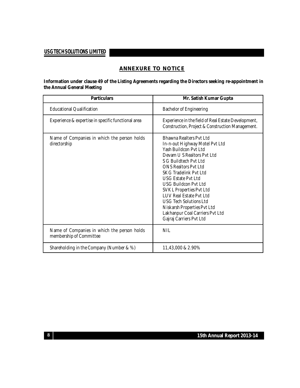#### **ANNEXURE TO NOTICE**

**Information under clause 49 of the Listing Agreements regarding the Directors seeking re-appointment in the Annual General Meeting**

| <b>Particulars</b>                                                     | Mr. Satish Kumar Gupta                                                                                                                                                                                                                                                                                                                                                                                                                                     |
|------------------------------------------------------------------------|------------------------------------------------------------------------------------------------------------------------------------------------------------------------------------------------------------------------------------------------------------------------------------------------------------------------------------------------------------------------------------------------------------------------------------------------------------|
| <b>Educational Qualification</b>                                       | <b>Bachelor of Engineering</b>                                                                                                                                                                                                                                                                                                                                                                                                                             |
| Experience & expertise in specific functional area                     | Experience in the field of Real Estate Development,<br>Construction, Project & Construction Management.                                                                                                                                                                                                                                                                                                                                                    |
| Name of Companies in which the person holds<br>directorship            | Bhawna Realters Pyt Ltd<br>In-n-out Highway Motel Pvt Ltd<br>Yash Buildcon Pyt I td<br>Devam U.S. Realtors Pyt Ltd<br>S G Buildtech Pyt Ltd<br><b>ONS Realtors Pyt Ltd</b><br><b>SKG Tradelink Pyt Ltd</b><br><b>USG Estate Pvt Ltd</b><br>USG Buildcon Pyt Ltd<br><b>SVKL Properties Pvt Ltd</b><br><b>LUV Real Estate Pyt Ltd</b><br>USG Tech Solutions Ltd<br>Niskarsh Properties Pvt Ltd<br>Lakhanpur Coal Carriers Pvt Ltd<br>Gajraj Carriers Pvt Ltd |
| Name of Companies in which the person holds<br>membership of Committee | <b>NIL</b>                                                                                                                                                                                                                                                                                                                                                                                                                                                 |
| Shareholding in the Company (Number & %)                               | 11,43,000 & 2.90%                                                                                                                                                                                                                                                                                                                                                                                                                                          |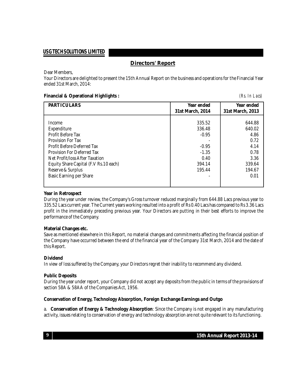#### **Directors' Report**

Dear Members,

Your Directors are delighted to present the 15th Annual Report on the business and operations for the Financial Year ended 31st March, 2014:

#### **Financial & Operational Highlights :** *(Rs. In Lacs)*

| <b>PARTICULARS</b>                    | Year ended<br>31st March, 2014 | Year ended<br>31st March, 2013 |
|---------------------------------------|--------------------------------|--------------------------------|
|                                       |                                |                                |
| Income                                | 335.52                         | 644.88                         |
| Expenditure                           | 336.48                         | 640.02                         |
| Profit Before Tax                     | $-0.95$                        | 4.86                           |
| Provision For Tax                     |                                | 0.72                           |
| <b>Profit Before Deferred Tax</b>     | $-0.95$                        | 4.14                           |
| <b>Provision For Deferred Tax</b>     | $-1.35$                        | 0.78                           |
| Net Profit/loss After Taxation        | 0.40                           | 3.36                           |
| Equity Share Capital (F.V Rs.10 each) | 394.14                         | 339.64                         |
| Reserve & Surplus                     | 195.44                         | 194.67                         |
| Basic Earning per Share               |                                | 0.01                           |
|                                       |                                |                                |

#### **Year in Retrospect**

During the year under review, the Company's Gross turnover reduced marginally from 644.88 Lacs previous year to 335.52 Lacscurrent year. The Current years working resulted into a profit of Rs 0.40 Lacs has compared to Rs 3.36 Lacs profit in the immediately preceding previous year. Your Directors are putting in their best efforts to improve the performance of the Company.

#### **Material Changes etc.**

Save as mentioned elsewhere in this Report, no material changes and commitments affecting the financial position of the Company have occurred between the end of the financial year of the Company 31st March, 2014 and the date of this Report.

#### **Dividend**

In view of loss suffered by the Company, your Directors regret their inability to recommend any dividend.

#### **Public Deposits**

During the year under report, your Company did not accept any deposits from the publicin terms of the provisions of section 58A & 58AA of the Companies Act, 1956.

#### **Conservation of Energy, Technology Absorption, Foreign Exchange Earnings and Outgo**

a. **Conservation of Energy & Technology Absorption**: Since the Company is not engaged in any manufacturing activity, issues relating to conservation of energy and technology absorption are not quite relevant to its functioning.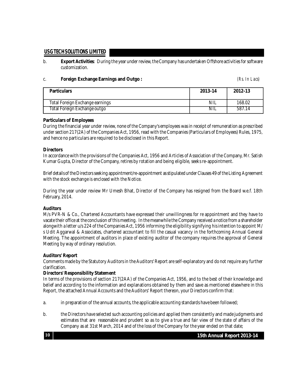b. **Export Activities**: During the year under review,the Company has undertaken Offshore activities for software customization.

#### c. **Foreign Exchange Earnings and Outgo :** *(Rs. In Lacs)*

| <b>Particulars</b>              | 2013-14    | 2012-13 |
|---------------------------------|------------|---------|
| Total Foreign Exchange earnings | <b>NIL</b> | 168.02  |
| Total Foreign Exchange outgo    | NIL        | 587.14  |

#### **Particulars of Employees**

During the financial year under review, none of the Company'semployees was in receipt of remuneration as prescribed under section 217(2A) of the Companies Act, 1956, read with the Companies (Particulars of Employees) Rules, 1975, and hence no particulars are required to be disclosed in this Report.

#### **Directors**

In accordance with the provisions of the Companies Act, 1956 and Articles of Association of the Company, Mr. Satish Kumar Gupta, Director of the Company, retires by rotation and being eligible, seeks re-appointment.

Brief details of the Directors seeking appointment/re-appointment as stipulated under Clauses 49 of the Listing Agreement with the stock exchange is enclosed with the Notice.

During the year under review Mr Umesh Bhat, Director of the Company has resigned from the Board w.e.f. 18th February, 2014.

#### **Auditors**

M/s PVR-N & Co., Chartered Accountants have expressed their unwillingness for re appointment and they have to vacate their office at the conclusion of this meeting. In the meanwhile the Company received a notice from a shareholder alongwith a letter u/s 224 of the Companies Act, 1956 informing the eligibility signifying his intention to appoint M/ s Udit Aggarwal & Associates, chartered accountant to fill the casual vacancy in the forthcoming Annual General Meeting. The appointment of auditors in place of existing auditor of the company requires the approval of General Meeting by way of ordinary resolution.

#### **Auditors' Report**

Comments made by the Statutory Auditors in the Auditors' Report are self-explanatory and do not require any further clarification.

#### **Directors' Responsibility Statement**

In terms of the provisions of section 217(2AA) of the Companies Act, 1956, and to the best of their knowledge and belief and according to the information and explanations obtained by them and save as mentioned elsewhere in this Report, the attached Annual Accounts and the Auditors' Report thereon, your Directors confirm that:

- a. in preparation of the annual accounts, the applicable accounting standards have been followed;
- b. the Directors haveselected such accounting policies and applied them consistently and madejudgments and estimates that are reasonable and prudent so as to give a true and fair view of the state of affairs of the Company as at 31st March, 2014 and of the loss of the Company for the year ended on that date;

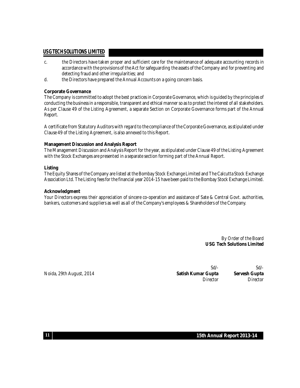- c. the Directors have taken proper and sufficient care for the maintenance of adequate accounting records in accordance with the provisions of the Act for safeguarding the assets of the Company and for preventing and detecting fraud and other irregularities; and
- d. the Directors have prepared the Annual Accounts on a going concern basis.

#### **Corporate Governance**

The Company is committed to adopt the best practices in Corporate Governance, which is guided by the principles of conducting the business in a responsible, transparent and ethical manner so as to protect theinterest of all stakeholders. As per Clause 49 of the Listing Agreement, a separate Section on Corporate Governance forms part of the Annual Report.

A certificate from Statutory Auditors with regard to thecompliance of the Corporate Governance, as stipulated under Clause 49 of the Listing Agreement, is also annexed to this Report.

#### **Management Discussion and Analysis Report**

The Management Discussion and Analysis Report for the year, as stipulated under Clause 49 of the Listing Agreement with the Stock Exchanges are presented in a separate section forming part of the Annual Report.

#### **Listing**

The Equity Shares of the Company arelisted at the Bombay Stock Exchange Limited and The Calcutta Stock Exchange Association Ltd. The Listing fees for thefinancial year 2014-15 have been paid to the Bombay Stock Exchange Limited.

#### **Acknowledgment**

Your Directors express their appreciation of sincere co-operation and assistance of Sate & Central Govt. authorities, bankers, customers and suppliers as well as all of the Company's employees & Shareholders of the Company.

> By Order of the Board **USG Tech Solutions Limited**

Sd/- Sd/- Noida, 29th August, 2014 **Satish Kumar Gupta Servesh Gupta** Director Director

**15th Annual Report 2013-14**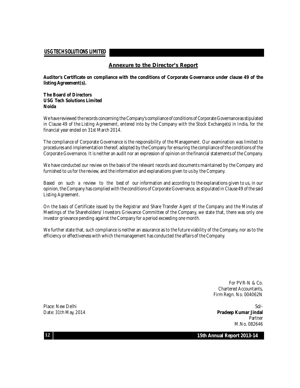#### **Annexure to the Director's Report**

**Auditor's Certificate on compliance with the conditions of Corporate Governance under clause 49 of the listing Agreement(s).**

#### **The Board of Directors USG Tech Solutions Limited Noida**

We have reviewed the records concerning the Company's compliance of conditions of Corporate Governance as stipulated in Clause 49 of the Listing Agreement, entered into by the Company with the Stock Exchange(s) in India, for the financial yearended on 31st March 2014.

The compliance of Corporate Governance is the responsibility of the Management. Our examination was limited to procedures and implementation thereof, adopted by the Company forensuring the compliance of the conditions of the Corporate Governance. It is neither an audit nor an expression of opinion on the financial statements of the Company.

We have conducted our review on the basis of the relevant records and documents maintained by the Company and furnished to us for the review, and the information and explanations given to us by the Company.

Based on such a review to the best of our information and according to the explanations given to us, in our opinion, the Company has complied with the conditions of Corporate Governance, as stipulated in Clause 49 of the said Listing Agreement.

On the basis of Certificate issued by the Registrar and Share Transfer Agent of the Company and the Minutes of Meetings of the Shareholders/ Investors Grievance Committee of the Company, we state that, there was only one investor grievance pending against the Company for a period exceeding one month.

We further state that, such compliance is neither an assurance as to the future viability of the Company, nor as to the efficiency oreffectiveness with which the management has conducted the affairs of the Company.

> For PVR-N & Co. Chartered Accountants, Firm Regn. No. 004062N

Place: New Delhi Sd/-Date: 31th May, 2014 **Pradeep Kumar Jindal** Partner M.No. 082646

**15th Annual Report 2013-14**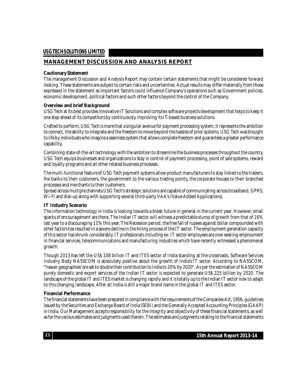#### **MANAGEMENT DISCUSSION AND ANALYSIS REPORT**

#### **Cautionary Statement**

The management Discussion and Analysis Report may contain certain statements that might be considered forward looking. These statements are subject to certain risks and uncertainties. Actual results may differ materially from those expressed in the statement as important factors could influence Company's operations such as Government policies, economic development, political factors and such other factors beyond the control of the Company.

#### **Overview and brief Background**

USG Tech at its best provides innovative IT Solutions and complex software projects development that helps to keep it one step ahead of its competitors by continuously improving its IT-based business solutions.

Crafted to perform, USG Tech is more that a singular avenue for payment processing system, it represents the ambition to connect, the ability to integrate and the freedom to move beyond the hassles of prior systems.USG Tech was brought to life by individuals who imagine a seamless system that allows complete freedom and quarantees a greater performance capability.

Combining state-of-the-art technology with the ambition to streamlinethe business processes throughout the country, USG Tech equips businesses and organizations to stay in control of payment processing, point of sale systems, reward and loyalty programs and all other related business processes.

The multi-functional feature of USG Tech payment systems allow product manufacturers to stay linked to the traders, the banks to their customers, the government to the various trading points, the corporate houses to their branched processes and merchants to their customers.

Spread across multiple channels USG Tech's strategic solutions are capable of communicating across broadband, GPRS, Wi-Fi and dial-up along with supporting several third-party VAA's (Value Added Applications).

#### **IT Industry Scenario**

The information technology in India is looking towards a bleak future in general in the current year. However, small sparks of encouragement are there. The Indian IT sector will witness a predictable slump of growth from that of 16% last year to a discouraging 11% this year. The Recession period, the free fall of rupees against dollar compounded with other factors has resulted in a severe decline in the hiring process of the IT sector. The employment generation capacity of this sector has shrunk considerably. IT professionals including ex- IT sectoremployees are now seeking employment in financial services, telecommunications and manufacturing industries which have recently witnessed a phenomenal growth.

Though 2013 has left the US\$ 108 billion IT and ITES sector of India standing at the crossroads, Software Services Industry Body NASSCOM is absolutely positive about the growth of India's IT sector. According to NASSCOM, "newer geographies' are set to double their contribution to India to 20% by 2020". As per the estimation of NASSCOM purely domestic and export services of the Indian IT sector is expected to generate US\$ 225 billion by 2020. The landscape of the global IT and ITES market is changing rapidly and it is totally up to the Indian IT sector now to adapt to this changing landscape. After all India is still a major brand name in the global IT and ITES sector.

#### **Financial Performance**

Thefinancial statements have been prepared in compliance with the requirements of the Companies Act, 1956, guidelines issued by the Securities and Exchange Board of India (SEBI) and the Generally Accepted Accounting Principles (GAAP) in India. Our Management accepts responsibility for the integrity and objectivity of these financial statements, as well as for the various estimates and judgments used therein. The estimates and judgments relating to the financial statements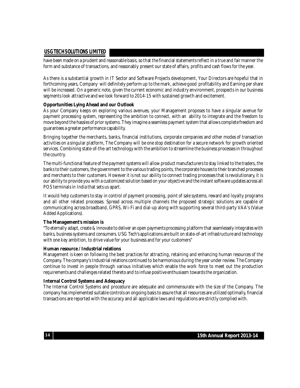have been made on a prudent and reasonable basis, so that thefinancial statements reflect in a true and fair manner the form and substance of transactions, and reasonably present our state of affairs, profits and cash flows for the year.

As there is a substantial growth in IT Sector and Software Projects development, Your Directors are hopeful that in forthcoming years, Company will definitely perform up to the mark, achieve good profitability and Earning per share will be increased. On a generic note, given the current economic and industry environment, prospects in our business segments look attractive and we look forward to 2014-15 with sustained growth and excitement.

#### **Opportunities Lying Ahead and our Outlook**

As your Company keeps on exploring various avenues, your Management proposes to have a singular avenue for payment processing system, representing the ambition to connect, with an ability to integrate and the freedom to move beyond the hassles of prior systems. They imagine a seamless payment system that allows complete freedom and guarantees a greater performance capability.

Bringing together the merchants, banks, financial institutions, corporate companies and other modes of transaction activities on a singular platform, The Company will be one stop destination for a secure network for growth oriented services. Combining state-of-the-art technology with the ambition to streamline the business processes in throughout the country.

The multi-functional feature of the payment systems will allow product manufacturers to stay linked to thetraders, the banks to their customers, the government to the various trading points, the corporate houses to their branched processes and merchants to their customers. However it is not our ability to connect trading processes that is revolutionary, it is our ability to provide you with a customized solution based on your objective and the instant software updates across all POS terminals in India that sets us apart.

It would help customers to stay in control of payment processing, point of sale systems, reward and loyalty programs and all other related processes. Spread across multiple channels the proposed strategic solutions are capable of communicating across broadband, GPRS, Wi-Fi and dial-up along with supporting several third-party VAA's (Value Added Applications).

#### **The Management's mission is**

"To eternally adapt, create & innovate to deliver an open payments processing platform that seamlessely integrates with banks, business systems and consumers. USG Tech's applications are built on state-of-art infrastructure and technology with one key ambition, to drive value for your business and for your customers"

#### **Human resource / Industrial relations**

Management is keen on following the best practices for attracting, retaining and enhancing human resources of the Company. The company's Industrial relations continued to be harmonious during the year under review. The Company continue to invest in people through various initiatives which enable the work force to meet out the production requirements and challenges related thereto and to infuse positiveenthusiasm towards the organization.

#### **Internal Control Systems and Adequacy**

The Internal Control Systems and procedure are adequate and commensurate with the size of the Company. The company has implemented suitable controls on ongoing basis to assure that all resources are utilized optimally, financial transactions are reported with the accuracy and all applicable laws and regulations are strictly complied with.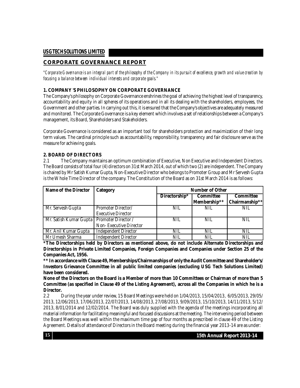#### **CORPORATE GOVERNANCE REPORT**

"Corporate Governance is an integral part of the philosophy of the Company in its pursuit of excellence, growth and value creation by *focusing a balance between individual interests and corporate goals."*

#### **1. COMPANY 'S PHILOSOPHY ON CORPORATE GOVERNANCE**

The Company's philosophy on Corporate Governance enshrines the goal of achieving the highest level of transparency, accountability and equity in all spheres of its operations and in all its dealing with the shareholders, employees, the Government and other parties. In carrying out this, it is ensured that the Company's objectives are adequately measured and monitored. The Corporate Governance is a key element which involves a set of relationships between a Company's management, its Board, Shareholders and Stakeholders.

Corporate Governance is considered as an important tool for shareholders protection and maximization of their long term values. The cardinal principle such as accountability, responsibility, transparency and fair disclosure serve as the measure for achieving goals.

#### **2. BOARD OF DIRECTORS**

2.1 The Company maintains an optimum combination of Executive, Non Executive and Independent Directors. The Board consists of total four (4) directors on 31st March 2014, out of which two (2) are independent. The Company is chaired by Mr Satish Kumar Gupta, Non-Executive Director who belongs to Promoter Group and Mr Servesh Gupta is the Whole Time Director of the company. The Constitution of the Board as on 31st March 2014 is as follows:

| Name of the Director                         | Category                    | <b>Number of Other</b> |              |                  |
|----------------------------------------------|-----------------------------|------------------------|--------------|------------------|
|                                              |                             | Directorship*          | Committee    | <b>Committee</b> |
|                                              |                             |                        | Membership** | Chairmanship**   |
| Mr. Servesh Gupta                            | Promoter Director/          | NIL                    | NIL          | <b>NIL</b>       |
|                                              | <b>Executive Director</b>   |                        |              |                  |
| Mr. Satish Kumar Gupta   Promoter Director / |                             | NIL                    | NIL          | NIL              |
|                                              | Non-Executive Director      |                        |              |                  |
| Mr. Anil Kumar Gupta                         | <b>Independent Director</b> | <b>NIL</b>             | NIL          | NIL              |
| Mr Umesh Sharma                              | <b>Independent Director</b> | <b>NIL</b>             | <b>NIL</b>   | <b>NIL</b>       |

**\*The Directorships held by Directors as mentioned above, do not include Alternate Directorships and Directorships in Private Limited Companies, Foreign Companies and Companies under Section 25 of the Companies Act, 1956.**

**\*\* In accordance with Clause 49, Memberships/Chairmanships of only the Audit Committee and Shareholder's/ Investors Grievance Committee in all public limited companies (excluding USG Tech Solutions Limited) have been considered.**

None of the Directors on the Board is a Member of more than 10 Committees or Chairman of more than 5 Committee (as specified in Clause 49 of the Listing Agreement), across all the Companies in which he is a **Director.**

2.2 During the year under review, 15 Board Meetings were held on 1/04/2013, 15/04/2013, 6/05/2013, 29/05/ 2013, 12/06/2013, 17/06/2013, 22/07/2013, 14/08/2013, 27/08/2013, 9/09/2013, 15/10/2013, 14/11/2013, 5/12/ 2013, 8/01/2014 and 12/02/2014. The Board was duly supplied with the agenda of the meetings incorporating all material information forfacilitating meaningful and focused discussions atthe meeting. The intervening period between the Board Meetings was well within the maximum time gap of four months as prescribed in clause 49 of the Listing Agreement. Details of attendance of Directors in the Board meeting during the financial year 2013-14 are as under: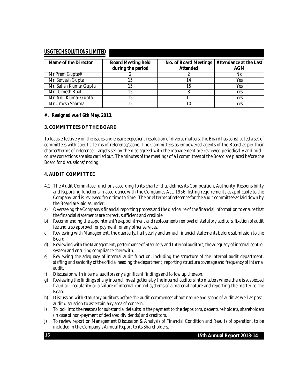| Name of the Director   | <b>Board Meeting held</b><br>during the period | No. of Board Meetings   Attendance at the Last<br><b>Attended</b> | AGM |
|------------------------|------------------------------------------------|-------------------------------------------------------------------|-----|
| Mr Prem Gupta $#$      |                                                |                                                                   | N0  |
| Mr. Servesh Gupta      |                                                |                                                                   | Yes |
| Mr. Satish Kumar Gupta | 15                                             |                                                                   | Yes |
| Mr. Umesh Bhat         | 15                                             |                                                                   | Yes |
| Mr. Anil Kumar Gupta   | 15                                             |                                                                   | Yes |
| Mr Umesh Sharma        |                                                |                                                                   | Yes |

#### **#. Resigned w.e.f 6th May, 2013.**

#### **3. COMMITTEES OF THE BOARD**

To focus effectively on the issues and ensure expedient resolution of diverse matters, the Board has constituted a set of committees with specific terms of reference/scope. The Committees as empowered agents of the Board as per their charter/terms of reference. Targets set by them as agreed with the management are reviewed periodically and mid course corrections are also carried out. The minutes of the meetings of all committees of the Board are placed before the Board for discussions/ noting.

#### **4. AUDIT COMMITTEE**

- 4.1 The Audit Committee functions according to its charter that defines its Composition, Authority, Responsibility and Reporting functions in accordance with the Companies Act, 1956, listing requirements as applicable to the Company and is reviewed from time to time. The brief terms of reference for the audit committee as laid down by the Board are laid as under:
- a) Overseeing the Company's financial reporting process and the disclosure of thefinancial information to ensure that the financial statements are correct, sufficient and credible.
- b) Recommending the appointment/re-appointment and replacement/ removal of statutory auditors, fixation of audit fee and also approval for payment for any other services.
- c) Reviewing with Management, the quarterly, half yearly and annual financial statements before submission to the Board.
- d) Reviewing with the Management, performance of Statutory and Internal auditors, the adequacy of internalcontrol system and ensuring compliance therewith.
- e) Reviewing the adequacy of internal audit function, including the structure of the internal audit department, staffing and seniority of the official heading the department, reporting structure coverage and frequency of internal audit.
- f) Discussion with internal auditors any significant findings and follow up thereon.
- g) Reviewing the findings of any internal investigations by the internal auditors into matters where there is suspected fraud or irregularity or a failure of internal control systems of a material nature and reporting the matter to the Board.
- h) Discussion with statutory auditors before the audit commences about nature and scope of audit as well as postaudit discussion to ascertain any area of concern.
- i) To look into the reasons for substantial defaults in the payment to the depositors, debenture holders, shareholders (in case of non-payment of declared dividends) and creditors.
- j) To review report on Management Discussion & Analysis of Financial Condition and Results of operation, to be included in the Company's Annual Report to its Shareholders.

**15th Annual Report 2013-14**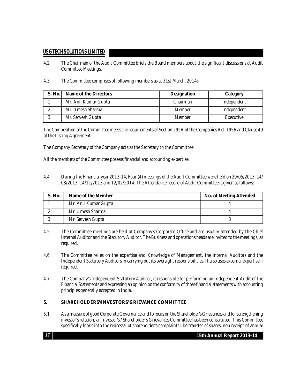- 4.2 The Chairman of the Audit Committee briefs the Board members about the significant discussions at Audit Committee Meetings.
- 4.3 The Committee comprises of following members as at 31st March, 2014:-

| $S.$ No. | Name of the Directors | <b>Designation</b> | Category    |
|----------|-----------------------|--------------------|-------------|
| . .      | Mr. Anil Kumar Gupta  | Chairman           | Independent |
| ۷        | Mr. Umesh Sharma      | Member             | Independent |
|          | Mr. Servesh Gupta     | Member             | Executive   |

The Composition of the Committee meets the requirements of Section 292A of the Companies Act, 1956 and Clause 49 of the Listing Agreement.

The Company Secretary of the Company acts as the Secretary to the Committee.

All the members of the Committee possess financial and accounting expertise.

4.4 During the Financial year 2013-14, Four (4) meetings of the Audit Committee were held on 29/05/2013, 14/ 08/2013, 14/11/2013 and 12/02/2014. The Attendance record of Audit Committeeis given as follows:

| S. No. | Name of the Member   | <b>No. of Meeting Attended</b> |
|--------|----------------------|--------------------------------|
|        | Mr. Anil Kumar Gupta |                                |
|        | Mr. Umesh Sharma     |                                |
|        | Mr. Servesh Gupta    |                                |

- 4.5 The Committee meetings are held at Company's Corporate Office and are usually attended by the Chief Internal Auditor and the Statutory Auditor. The Business and operations heads are invited to the meetings, as required.
- 4.6 The Committee relies on the expertise and Knowledge of Management, the internal Auditors and the Independent Statutory Auditors in carrying out its oversight responsibilities. It also uses external expertise if required.
- 4.7 The Company's Independent Statutory Auditor, is responsible for performing an Independent Audit of the Financial Statements and expressing an opinion on theconformity of thosefinancial statementswith accounting principles generally accepted in India.

#### **5. SHAREHOLDERS'/INVESTORS' GRIEVANCE COMMITTEE**

5.1 As a measure of good Corporate Governance and to focus on the Shareholder's Grievances and for strengthening investor's relation, an Investor's / Shareholder's Grievances Committee has been constituted. This Committee specifically looks into the redressal of shareholder's complaints like transfer of shares, non receipt of annual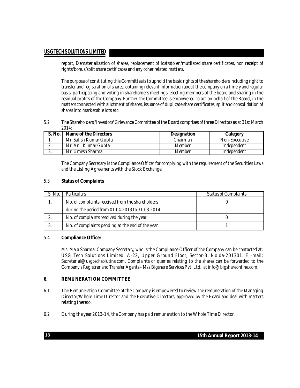report, Dematerialization of shares, replacement of lost/stolen/mutilated share certificates, non receipt of rights/bonus/split share certificates and any other related matters.

The purpose of constituting this Committeeis to uphold the basicrights of theshareholders including right to transfer and registration of shares, obtaining relevant information about thecompany on a timely and regular basis, participating and voting in shareholders meetings, electing members of the board and sharing in the residual profits of the Company. Further the Committee is empowered to act on behalf of the Board, in the mattersconnected with allotment of shares, issuance of duplicate share certificates,split and consolidation of shares into marketablelotsetc.

5.2 The Shareholders'/Investors' Grievance Committee of the Board comprises of three Directors as at 31st March  $2014$ 

| S. No.   | Name of the Directors  | <b>Designation</b> | Category      |
|----------|------------------------|--------------------|---------------|
| . .      | Mr. Satish Kumar Gupta | Chairman           | Non-Executive |
| <u>.</u> | Mr. Anil Kumar Gupta   | Member             | Independent   |
| J.       | . Umesh Sharma<br>Mr.  | Member             | Independent   |

The Company Secretary is the Compliance Officer forcomplying with the requirement of the Securities Laws and the Listing Agreements with the Stock Exchange.

#### 5.3 **Status of Complaints**

| No. | <b>Particulars</b>                               | <b>Status of Complaints</b> |
|-----|--------------------------------------------------|-----------------------------|
|     | No. of complaints received from the shareholders |                             |
|     | during the period from 01.04.2013 to 31.03.2014  |                             |
|     | No. of complaints resolved during the year       |                             |
|     | No. of complaints pending at the end of the year |                             |

#### 5.4 **Compliance Officer**

Ms. Mala Sharma, Company Secretary, who is the Compliance Officer of the Company can be contacted at: USG Tech Solutions Limited, A-22, Upper Ground Floor, Sector-3, Noida-201301. E -mail: [Secretarial@usgtechsolutins.com.](mailto:Secretarial@usgtechsolutins.com.) Complaints or queries relating to the shares can be forwarded to the Company's Registrar and Transfer Agents - M/s Bigshare Services Pvt. Ltd. at [info@bigshareonline.com.](mailto:info@bigshareonline.com.)

#### **6. REMUNERATION COMMITTEE**

- 6.1 The Remuneration Committee of the Company is empowered to review the remuneration of the Managing Director/Whole Time Director and the Executive Directors, approved by the Board and deal with matters relating thereto.
- 6.2 During the year 2013-14, the Company has paid remuneration to the Whole Time Director.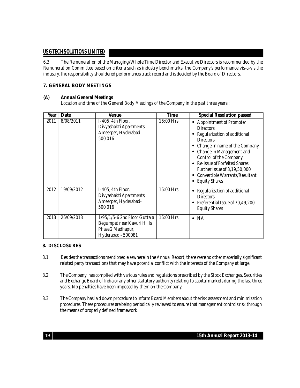6.3 The Remuneration of the Managing/Whole Time Director and Executive Directors is recommended by the Remuneration Committee based on criteria such as industry benchmarks, the Company's performance vis-a-vis the industry, the responsibility shouldered performance/track record and is decided by the Board of Directors.

#### **7. GENERAL BODY MEETINGS**

#### **(A) Annual General Meetings**

Location and time of the General Body Meetings of the Company in the past three years :

| Year | Date       | <b>Venue</b>                                                                                          | Time      | <b>Special Resolution passed</b>                                                                                                                                                                                                                                                                                        |
|------|------------|-------------------------------------------------------------------------------------------------------|-----------|-------------------------------------------------------------------------------------------------------------------------------------------------------------------------------------------------------------------------------------------------------------------------------------------------------------------------|
| 2011 | 8/08/2011  | I-405, 4th Floor,<br>Divyashakti Apartments<br>Ameerpet, Hyderabad-<br>500 016                        | 16:00 Hrs | <b>Appointment of Promoter</b><br><b>Directors</b><br>Regularization of additional<br><b>Directors</b><br>Change in name of the Company<br>Change in Management and<br>Control of the Company<br>Re-issue of Forfeited Shares<br>Further Issue of 3,19,50,000<br>Convertible Warrants/Resultant<br><b>Equity Shares</b> |
| 2012 | 19/09/2012 | I-405, 4th Floor,<br>Divyashakti Apartments,<br>Ameerpet, Hyderabad-<br>500 016                       | 16:00 Hrs | Regularization of additional<br><b>Directors</b><br>Preferential Issue of 70,49,200<br><b>Equity Shares</b>                                                                                                                                                                                                             |
| 2013 | 26/09/2013 | 1/95/1/5-6 2nd Floor Guttala<br>Begumpet near Kavuri Hills<br>Phase 2 Madhapur,<br>Hyderabad - 500081 | 16:00 Hrs | $\bullet$ NA                                                                                                                                                                                                                                                                                                            |

#### **8. DISCLOSURES**

- 8.1 Besides the transactions mentioned elsewhere in the Annual Report, there were no other materially significant related party transactions that may have potential conflict with the interests of the Company at large.
- 8.2 The Company has complied with various rules and regulations prescribed by the Stock Exchanges, Securities and Exchange Board of India or any other statutory authority relating to capital markets during thelast three years. No penalties have been imposed by them on the Company.
- 8.3 The Company has laid down procedure to inform Board Members about the risk assessment and minimization procedures. These procedures are being periodically reviewed to ensure that management controls risk through the means of properly defined framework.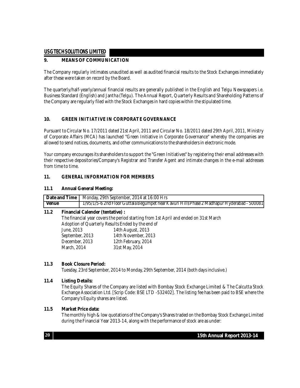#### **9. MEANS OF COMMUNICATION**

The Company regularly intimates unaudited as well as audited financial results to the Stock Exchanges immediately after these were taken on record by the Board.

The quarterly/half-yearly/annual financial results are generally published in the English and Telgu Newspapers i.e. Business Standard (English) and Jantha (Telgu). The Annual Report, Quarterly Results and Shareholding Patterns of the Company are regularly filed with the Stock Exchanges in hard copies within the stipulated time.

#### **10. GREEN INITIATIVE IN CORPORATE GOVERNANCE**

Pursuant to Circular No. 17/2011 dated 21st April, 2011 and Circular No. 18/2011 dated 29th April, 2011, Ministry of Corporate Affairs (MCA) has launched "Green Initiative in Corporate Governance" whereby the companies are allowed to send notices, documents, and other communications to theshareholders in electronic mode.

Your company encourages its shareholders to support the "Green Initiatives" by registering their email addresses with their respective depositories/Company's Registrar and Transfer Agent and intimate changes in the e-mail addresses from time to time.

#### **11. GENERAL INFORMATION FOR MEMBERS**

#### **11.1 Annual General Meeting:**

|              | <b>Date and Time</b>   Monday, 29th September, 2014 at 16:00 Hrs                            |
|--------------|---------------------------------------------------------------------------------------------|
| <b>Venue</b> | 1/95/1/5-6 2nd Floor Guttala Begumpet near Kavuri Hills Phase 2 Madhapur Hyderabad - 500081 |
| 11 J         | <b>Financial Calandar (tantativa).</b>                                                      |

#### **11.2 Financial Calender (tentative) :**

The financial year covers the period starting from 1st April and ended on 31st March Adoption of Quarterly Results Ended by the end of<br>June, 2013 14th August, 2013 14th August, 2013 September, 2013 14th November, 2013 December, 2013 12th February, 2014 March, 2014 31st May, 2014

#### **11.3 Book Closure Period:**

Tuesday, 23rd September, 2014 to Monday, 29th September, 2014 (both days inclusive.)

#### **11.4 Listing Details:**

The Equity Shares of the Company are listed with Bombay Stock Exchange Limited & The Calcutta Stock Exchange Association Ltd. [Scrip Code: BSE LTD -532402]. The listing fee has been paid to BSE where the Company's Equity shares are listed.

#### **11.5 Market Price data:**

The monthly high & low quotations of the Company's Shares traded on the Bombay Stock Exchange Limited during the Financial Year 2013-14, along with the performance of stock are as under: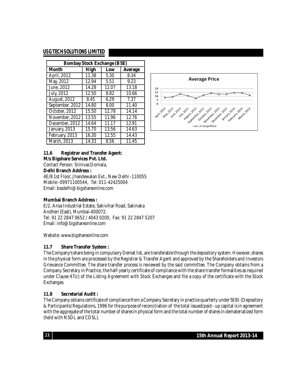| <b>Bombay Stock Exchange (BSE)</b> |       |       |         |  |  |  |
|------------------------------------|-------|-------|---------|--|--|--|
| <b>Month</b>                       | High  | Low   | Average |  |  |  |
| April, 2012                        | 11.38 | 5.30  | 8.34    |  |  |  |
| May, 2012                          | 12.94 | 5.51  | 9.23    |  |  |  |
| June, 2012                         | 14.28 | 12.07 | 13.18   |  |  |  |
| July, 2012                         | 12.50 | 8.82  | 10.66   |  |  |  |
| <b>August, 2012</b>                | 8.45  | 6.29  | 7.37    |  |  |  |
| September, 2012                    | 14.80 | 8.00  | 11.40   |  |  |  |
| October, 2012                      | 15.50 | 12.78 | 14.14   |  |  |  |
| November, 2012                     | 13.55 | 11.96 | 12.76   |  |  |  |
| December, 2012                     | 14.64 | 11.17 | 12.91   |  |  |  |
| January, 2013                      | 15.70 | 13.56 | 14.63   |  |  |  |
| February, 2013                     | 16.30 | 12.55 | 14.43   |  |  |  |
| March, 2013                        | 14.33 | 8.56  | 11.45   |  |  |  |



#### **11.6 Registrar and Transfer Agent:**

#### **M/s Bigshare Services Pvt. Ltd.**

Contact Person: Srinivas Dornala,

#### **Delhi Branch Address :**

4E/8 1st Floor, Jhandewalan Ext., New Delhi -110055 Mobile:-09971100544, Tel: 011-42425004 Email: [bssdelhi@bigshareonline.com](mailto:bssdelhi@bigshareonline.com)

#### **Mumbai Branch Address :**

E/2, Ansa Industrial Estate, Sakivihar Road, Sakinaka Andheri (East), Mumbai-400072. Tel: 91 22 2847 0652 / 4043 0200, Fax: 91 22 2847 5207 Email: [info@bigshareonline.com](mailto:info@bigshareonline.com)

Website: [www.bigshareonline.com](http://www.bigshareonline.com)

#### **11.7 Share Transfer System :**

The Company's share being in compulsory Demat list, are transferable through the depository system. However, shares in the physical form are processed by the Registrar & Transfer Agent and approved by the Shareholders and Investors Grievance Committee. The share transfer process is reviewed by the said committee. The Company obtains from a Company Secretary in Practice, the half-yearly certificate of compliance with the share transfer formalities as required under Clause 47(c) of the Listing Agreement with Stock Exchanges and file a copy of the certificate with the Stock Exchanges.

#### **11.8 Secretarial Audit :**

The Company obtains certificate of compliance from a Company Secretary in practice quarterly under SEBI (Depository & Participants) Regulations, 1996 for the purpose of reconciliation of the total issued/paid - up capital is in agreement with the aggregate of the total number of shares in physical form and the total number of shares in dematerialized form (held with NSDL and CDSL).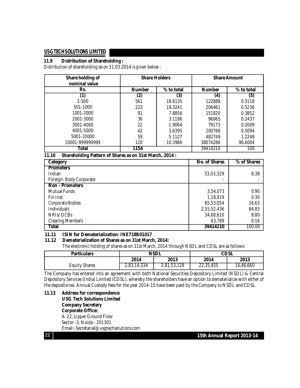#### **11.9 Distribution of Shareholding :**

Distribution of shareholding as on 31.03.2014 is given below :

| Share holding of<br>nominal value | <b>Share Holders</b> |            | <b>Share Amount</b> |            |  |
|-----------------------------------|----------------------|------------|---------------------|------------|--|
| Rs.                               | <b>Number</b>        | % to total | <b>Number</b>       | % to total |  |
|                                   | (2)                  | (3)        | (4)                 | (5)        |  |
| $1 - 500$                         | 561                  | 18.6135    | 122888              | 0.3118     |  |
| 501-1000                          | 223                  | 19.3241    | 206461              | 0.5238     |  |
| 1001-2000                         | 91                   | 7.8856     | 151820              | 0.3852     |  |
| 2001-3000                         | 36                   | 3.1196     | 96065               | 0.2437     |  |
| 3001-4000                         | 22                   | 1.9064     | 79173               | 0.2009     |  |
| 4001-5000                         | 42                   | 3.6395     | 200768              | 0.5094     |  |
| 5001-10000                        | 59                   | 5.1127     | 482749              | 1.2248     |  |
| 10001-999999999                   | 120                  | 10.3986    | 38074286            | 96.6004    |  |
| Total                             | 1154                 |            | 39414210            | 100        |  |

#### **11.10 Shareholding Pattern of Shares as on 31st March, 2014 :**

| Category                | No. of Shares | % of Shares |
|-------------------------|---------------|-------------|
| <b>Promoters</b>        |               |             |
| Indian                  | 33,03,329     | 8.38        |
| Foreign: Body Corporate |               |             |
| <b>Non - Promoters</b>  |               |             |
| <b>Mutual Funds</b>     | 3,54,073      | 0.90        |
| Fin Inst.               | 1,18,919      | 0.30        |
| <b>Corporate Bodies</b> | 65,53,054     | 16.63       |
| <b>Individuals</b>      | 2,55,52,436   | 64.83       |
| NRIS/OCBS               | 34,68,610     | 8.80        |
| <b>Clearing Members</b> | 63,789        | 0.16        |
| Total                   | 39414210      | 100.00      |

## **11.11 ISIN for Dematerialization: INE718B01017**

#### **11.12 Dematerialization of Shares as on 31st March, 2014:**

The electronic holding of shares as on 31st March, 2014 through NSDL and CDSL are as follows:

| <b>Particulars</b>   |             | <b>NSDL</b> | CDSL      |           |  |
|----------------------|-------------|-------------|-----------|-----------|--|
|                      | 2014        | 2013        | 2014      | 2013      |  |
| <b>Equity Shares</b> | 2,83,14,334 | 2,81,53,129 | 22,35,455 | 16,46,660 |  |

The Company has entered into an agreement with both National Securities Depository Limited (NSDL) & Central Depository Services (India) Limited (CDSL), whereby the shareholders have an option to dematerialize with either of the depositories. Annual Custody fees for the year 2014-15 have been paid by the Company to NSDL and CDSL.

**11.13 Address for correspondence USG Tech Solutions Limited Company Secretary Corporate Office:** A-22, Upper Ground Floor Sector -3, Noida - 201301 [Email:-Secretarial@usgtechsolutions.com](mailto:Email:-Secretarial@usgtechsolutions.com)

**22 15th Annual Report 2013-14**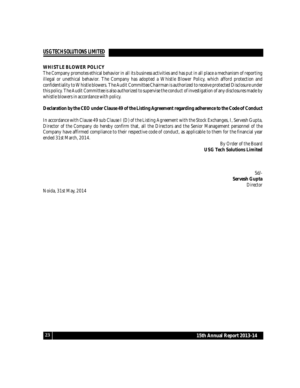#### **WHISTLE BLOWER POLICY**

The Company promotes ethical behavior in all its business activities and has put in all place a mechanism of reporting illegal or unethical behavior. The Company has adopted a Whistle Blower Policy, which afford protection and confidentiality to Whistle blowers. The Audit Committee Chairman is authorized to receive protected Disclosure under this policy. The Audit Committeeis also authorized to supervise theconduct of investigation of any disclosures made by whistle blowers in accordance with policy.

#### Declaration by the CEO under Clause 49 of the Listing Agreement regarding adherence to the Code of Conduct

In accordance with Clause 49 sub Clause I (D) of the Listing Agreement with the Stock Exchanges, I, Servesh Gupta, Director of the Company do hereby confirm that, all the Directors and the Senior Management personnel of the Company have affirmed compliance to their respective code of conduct, as applicable to them for the financial year ended 31st March, 2014.

> By Order of the Board **USG Tech Solutions Limited**

> > Sd/- **Servesh Gupta** Director

Noida, 31st May, 2014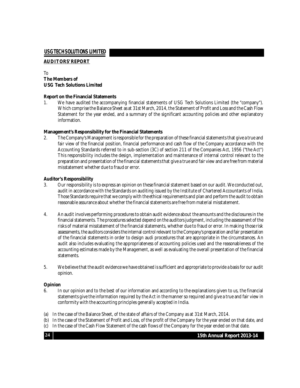#### **AUDITORS' REPORT**

#### To **The Members of USG Tech Solutions Limited**

#### **Report on the Financial Statements**

1. We have audited the accompanying financial statements of USG Tech Solutions Limited (the "company"). Which comprise the Balance Sheet as at 31st March, 2014, the Statement of Profit and Loss and the Cash Flow Statement for the year ended, and a summary of the significant accounting policies and other explanatory information.

#### **Management's Responsibility for the Financial Statements**

2. The Company's Management is responsible for the preparation of these financial statements that give a true and fair view of the financial position, financial performance and cash flow of the Company accordance with the Accounting Standards referred to in sub-section (3C) of section 211 of the Companies Act, 1956 ("the Act") This responsibility includes the design, implementation and maintenance of internal control relevant to the preparation and presentation of the financial statements that give a true and fair view and are free from material misstatement whether due to fraud or error.

#### **Auditor's Responsibility**

- 3. Our responsibility is to express an opinion on thesefinancial statement based on our audit. We conducted out, audit in accordance with the Standards on auditing issued by the Institute of Chartered Accountants of India. Those Standards require that we comply with theethical requirements and plan and perform the audit to obtain reasonable assurance about whether the financial statements arefree from material misstatement.
- 4. An audit involves performing procedures to obtain audit evidence about the amounts and the disclosures in the financial statements. The procedures selected depend on the auditors judgment, including the assessment of the risks of material misstatement of the financial statements, whether due to fraud or error. In making those risk assessments, the auditors considers the internal control relevant to the Company's preparation and fair presentation of the financial statements in order to design audi procedures that are appropriate in the circumstances. An audit also includes evaluating the appropriateness of accounting policies used and the reasonableness of the accounting estimates made by the Management, as well as evaluating the overall presentation of the financial statements.
- 5. We believe that the audit evidence we have obtained is sufficient and appropriate to provide a basis for our audit opinion.

#### **Opinion**

**24**

- 6. In our opinion and to the best of our information and according to the explanations given to us, the financial statements give the information required by the Act in the manner so required and give a true and fair view in conformity with the accounting principles generally accepted in India.
- (a) In the case of the Balance Sheet, of the state of affairs of the Company as at 31st March, 2014.
- (b) In the case of the Statement of Profit and Loss, of the profit of the Company for the yearended on that date, and
- (c) In the case of the Cash Flow Statement of the cash flows of the Company for the year ended on that date.

**15th Annual Report 2013-14**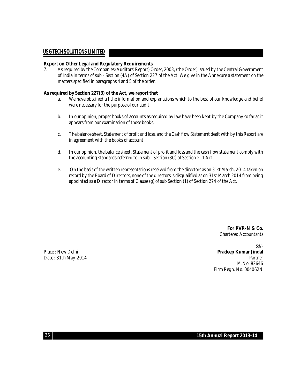#### **Report on Other Legal and Regulatory Requirements**

7. As required by the Companies (Auditors' Report) Order, 2003, (the Order) issued by the Central Government of India in terms of sub - Section (4A) of Section 227 of the Act, We give in the Annexure a statement on the matters specified in paragraphs 4 and 5 of the order.

#### **As required by Section 227(3) of the Act, we report that**

- a. We have obtained all the information and explanations which to the best of our knowledge and belief were necessary for the purpose of our audit.
- b. In our opinion, proper books of accounts as required by law have been kept by the Company so far as it appears from our examination of those books.
- c. The balance sheet, Statement of profit and loss, and the Cash flow Statement dealt with by this Report are in agreement with the books of account.
- d. In our opinion, the balance sheet, Statement of profit and loss and the cash flow statement comply with the accounting standards referred to in sub - Section (3C) of Section 211 Act.
- e. On the basis of the written representations received from the directors as on 31st March, 2014 taken on record by the Board of Directors, none of the directors is disqualified as on 31st March 2014 from being appointed as a Director in terms of Clause (g) of sub Section (1) of Section 274 of the Act.

**For PVR-N & Co.** Chartered Accountants

Sd/- Place : New Delhi **Pradeep Kumar Jindal** Date : 31th May, 2014 **Partner** Partner New York 2014 **Partner** M.No. 82646 Firm Regn. No. 004062N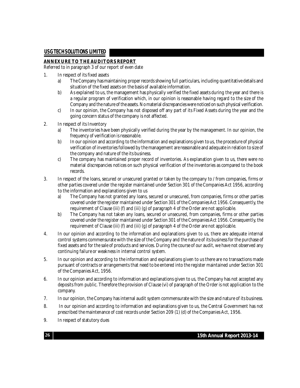#### **ANNEXURE TO THE AUDITORS REPORT**

Referred to in paragraph 3 of our report of even date

- 1. In respect of its fixed assets
	- a) The Company has maintaining proper records showing full particulars, including quantitative details and situation of the fixed assets on the basis of available information.
	- b) As explained to us, the management has physically verified the fixed assets during the year and there is a regular program of verification which, in our opinion is reasonable having regard to the size of the Company and the nature of the assets. Nomaterial discrepancieswere noticed on such physical verification.
	- c) In our opinion, the Company has not disposed off any part of its Fixed Assets during the year and the going concern status of the company is not affected.
- 2. In respect of its Inventory
	- a) The inventories have been physically verified during the year by the management. In our opinion, the frequency of verification is reasonable.
	- b) In our opinion and according to the information and explanations given to us, the procedure of physical verification of inventories followed by the management arereasonable and adequate in relation to size of the company and nature of the its business.
	- c) The company has maintained proper record of inventories. As explanation given to us, there were no material discrepancies notices on such physical verification of the inventories as compared to the book records.
- 3. In respect of the loans, secured or unsecured granted or taken by the company to / from companies, firms or other parties covered under the register maintained under Section 301 of the Companies Act 1956, according to the information and explanations given to us
	- a) The Company has not granted any loans, secured or unsecured, from companies, firms or other parties covered under the register maintained under Section 301 of the Companies Act 1956. Consequently, the requirement of Clause (iii) (f) and (iii) (g) of paragraph 4 of the Order are not applicable.
	- b) The Company has not taken any loans, secured or unsecured, from companies, firms or other parties covered under theregister maintained under Section 301 of the Companies Act 1956. Consequently, the requirement of Clause (iii) (f) and (iii) (g) of paragraph 4 of the Order are not applicable.
- 4. In our opinion and according to the information and explanations given to us, there are adequate internal control systems commensurate with the size of the Company and the nature of its business for the purchase of fixed assets and for the sale of products and services. During the course of our audit, we have not observed any continuing failure or weakness in internal control system.
- 5. In our opinion and according to the information and explanations given to us there are no transactions made pursuant of contracts or arrangements that need to be entered into the register maintained under Section 301 of the Companies Act, 1956.
- 6. In our opinion and according to information and explanations given to us, the Company has not accepted any deposits from public. Therefore the provision of Clause (vi) of paragraph of the Order is not application to the company.
- 7. In our opinion, the Company has internal audit system commensurate with the size and nature of its business.
- 8. In our opinion and according to information and explanations given to us, the Central Government has not prescribed the maintenance of cost records under Section 209 (1) (d) of the Companies Act, 1956.
- 9. In respect of statutory dues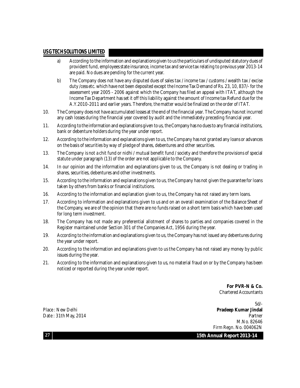- a) According to the information and explanations given to us the particulars of undisputed statutory dues of provident fund,employees state insurance, income tax and servicetax relating to previous year 2013-14 are paid. No dues are pending for the current year.
- b) The Company does not have any disputed dues of sales tax / income tax / customs / wealth tax / excise duty /cess etc. which have not been deposited except the Income Tax Demand of Rs. 23, 10, 837/- for the assessment year 2005 - 2006 against which the Company has filed an appeal with ITAT, although the Income Tax Department has set it off this liability against the amount of Income tax Refund due for the A.Y.2010-2011 and earlier years. Therefore, the matter would be finalized on the order of ITAT.
- 10. The Company does not have accumulated losses at theend of the financial year. The Company has not incurred any cash losses during the financial year covered by audit and the immediately preceding financial year.
- 11. According to theinformation and explanations given to us, the Company has no dues to any financial institutions, bank or debenture holders during the year under report.
- 12. According to the information and explanations given to us, the Company has not granted any loans or advances on the basis of securities by way of pledge of shares, debentures and other securities.
- 13. The Company is not a chit fund or nidhi / mutual benefit fund / society and therefore the provisions of special statute under paragraph (13) of the order are not applicable to the Company.
- 14. In our opinion and the information and explanations given to us, the Company is not dealing or trading in shares, securities, debentures and other investments.
- 15. According to the information and explanations given to us, the Company has not given the guarantee for loans taken by others from banks or financial institutions.
- 16. According to the information and explanation given to us, the Company has not raised any term loans.
- 17. According to information and explanations given to us and on an overall examination of the Balance Sheet of the Company, we are of the opinion that there are no funds raised on a short term basis which have been used for long term investment.
- 18. The Company has not made any preferential allotment of shares to parties and companies covered in the Register maintained under Section 301 of the Companies Act, 1956 during the year.
- 19. According to theinformation and explanations given to us, the Company has not issued any debentures during the year under report.
- 20. According to the information and explanations given to us the Company has not raised any money by public issues during the year.
- 21. According to the information and explanations given to us, no material fraud on or by the Company has been noticed or reported during the year under report.

**For PVR-N & Co.** Chartered Accountants

Sd/- Place : New Delhi **Pradeep Kumar Jindal** Date : 31th May, 2014 **Partner** Partner **Partner** Partner **Partner** Partner **Partner** M.No. 82646 Firm Regn. No. 004062N

**15th Annual Report 2013-14**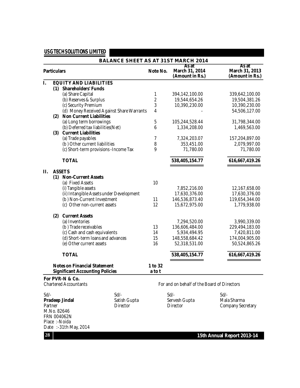|                                |                    |                                           |  |                         | <b>BALANCE SHEET AS AT 31ST MARCH 2014</b>  |                                            |
|--------------------------------|--------------------|-------------------------------------------|--|-------------------------|---------------------------------------------|--------------------------------------------|
|                                | <b>Particulars</b> |                                           |  | Note No.                | As at<br>March 31, 2014<br>(Amount in Rs.)  | As at<br>March 31, 2013<br>(Amount in Rs.) |
| I.                             |                    | <b>EQUITY AND LIABILITIES</b>             |  |                         |                                             |                                            |
|                                |                    | (1) Shareholders' Funds                   |  |                         |                                             |                                            |
|                                |                    | (a) Share Capital                         |  | 1                       | 394,142,100.00                              | 339,642,100.00                             |
|                                |                    | (b) Reserves & Surplus                    |  | $\overline{\mathbf{c}}$ | 19,544,654.26                               | 19,504,381.26                              |
|                                |                    | (c) Security Premium                      |  | 3                       | 10,390,230.00                               | 10,390,230.00                              |
|                                |                    | (d) Money Received Against Share Warrants |  | 4                       |                                             | 54,506,127.00                              |
|                                |                    | (2) Non Current Liabilities               |  |                         |                                             |                                            |
|                                |                    | (a) Long term borrowings                  |  | 5                       | 105,244,528.44                              | 31,798,344.00                              |
|                                |                    | (b) Deferred tax liabilities (Net)        |  | 6                       | 1,334,208.00                                | 1,469,563.00                               |
|                                |                    | (3) Current Liabilities                   |  |                         |                                             |                                            |
|                                |                    | (a) Trade payables                        |  | 7                       | 7,324,203.07                                | 157,204,897.00                             |
|                                |                    | (b) Other current liabilities             |  | 8                       | 353,451.00                                  | 2,079,997.00                               |
|                                |                    | (c) Short-term provisions - Income Tax    |  | 9                       | 71,780.00                                   | 71,780.00                                  |
|                                |                    |                                           |  |                         |                                             |                                            |
|                                |                    | <b>TOTAL</b>                              |  |                         | 538,405,154.77                              | 616,667,419.26                             |
| П.                             |                    | <b>ASSETS</b>                             |  |                         |                                             |                                            |
|                                |                    | (1) Non-Current Assets                    |  |                         |                                             |                                            |
|                                |                    | (a) Fixed Assets                          |  | 10                      |                                             |                                            |
|                                |                    | (i) Tangible assets                       |  |                         | 7,852,216.00                                | 12,167,658.00                              |
|                                |                    | (ii) Intangible Assets under Development  |  |                         | 17,630,376.00                               | 17,630,376.00                              |
|                                |                    | (b) Non-Current Investment                |  | 11                      | 146,536,873.40                              | 119,654,344.00                             |
|                                |                    | (c) Other non-current assets              |  | 12                      | 15,672,975.00                               | 1,779,938.00                               |
|                                |                    |                                           |  |                         |                                             |                                            |
|                                | (2)                | <b>Current Assets</b>                     |  |                         |                                             |                                            |
|                                |                    | (a) Inventories                           |  |                         | 7,294,520.00                                | 3,990,339.00                               |
|                                |                    | (b) Trade receivables                     |  | 13                      | 136,606,484.00                              | 229,494,183.00                             |
|                                |                    | (c) Cash and cash equivalents             |  | 14                      | 5,934,494.95                                | 7,420,811.00                               |
|                                |                    | (d) Short-term loans and advances         |  | 15                      | 148,558,684.42                              | 174,004,905.00                             |
|                                |                    | (e) Other current assets                  |  | 16                      | 52,318,531.00                               | 50,524,865.26                              |
|                                |                    | <b>TOTAL</b>                              |  |                         | 538,405,154.77                              | 616,667,419.26                             |
|                                |                    | <b>Notes on Financial Statement</b>       |  | 1 to 32                 |                                             |                                            |
|                                |                    | <b>Significant Accounting Policies</b>    |  | atot                    |                                             |                                            |
|                                |                    | For PVR-N & Co.                           |  |                         |                                             |                                            |
|                                |                    | <b>Chartered Accountants</b>              |  |                         | For and on behalf of the Board of Directors |                                            |
| $Sd$ /-<br>$Sd$ /-             |                    |                                           |  | $Sd$ /-                 | $Sd$ /-                                     |                                            |
| Pradeep Jindal<br>Satish Gupta |                    |                                           |  | Servesh Gupta           | Mala Sharma                                 |                                            |
| Partner<br><b>Director</b>     |                    |                                           |  | <b>Director</b>         | <b>Company Secretary</b>                    |                                            |
| M.No. 82646                    |                    |                                           |  |                         |                                             |                                            |
| FRN 004062N                    |                    |                                           |  |                         |                                             |                                            |
|                                |                    | Place:-Noida                              |  |                         |                                             |                                            |
|                                |                    | Date:-31th May, 2014                      |  |                         |                                             |                                            |
| 28                             |                    |                                           |  |                         |                                             | 15th Annual Report 2013-14                 |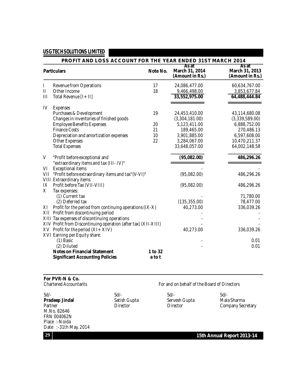|     | PROFIT AND LOSS ACCOUNT FOR THE YEAR ENDED 31ST MARCH 2014                    |                   |                                            |                                            |  |  |
|-----|-------------------------------------------------------------------------------|-------------------|--------------------------------------------|--------------------------------------------|--|--|
|     | <b>Particulars</b>                                                            | Note No.          | As at<br>March 31, 2014<br>(Amount in Rs.) | As at<br>March 31, 2013<br>(Amount in Rs.) |  |  |
| L   | <b>Revenue from Operations</b>                                                | 17                | 24,086,477.00                              | 60,634,767.00                              |  |  |
| Ш   | Other Income                                                                  | 18                | 9,466,498.00                               | 3,853,677.84                               |  |  |
| Ш   | Total Revenue [I + II]                                                        |                   | 33,552,975.00                              | 64,488,444.84                              |  |  |
| IV  | <b>Expenses</b>                                                               |                   |                                            |                                            |  |  |
|     | Purchases & Development                                                       | 19                | 24,453,410.00                              | 43,114,680.08                              |  |  |
|     | Changes in inventories of finished goods                                      |                   | (3,304,181.00)                             | (3,339,589.00)                             |  |  |
|     | <b>Employee Benefits Expenses</b>                                             | 20                | 5,123,411.00                               | 6,888,752.00                               |  |  |
|     | <b>Finance Costs</b>                                                          | 21                | 189,465.00                                 | 270,486.13                                 |  |  |
|     | Depreciation and amortization expenses                                        | 10                | 3,901,885.00                               | 6,597,608.00                               |  |  |
|     | <b>Other Expenses</b>                                                         | 22                | 3,284,067.00                               | 10,470,211.37                              |  |  |
|     | <b>Total Expenses</b>                                                         |                   | 33,648,057.00                              | 64,002,148.58                              |  |  |
| V   | "Profit before exceptional and                                                |                   | (95,082.00)                                | 486,296.26                                 |  |  |
|     | "extraordinary items and tax (III-IV)"                                        |                   |                                            |                                            |  |  |
| VI  | <b>Exceptional items</b>                                                      |                   |                                            |                                            |  |  |
| VII | "Profit before extraordinary items and tax"(V-VI)"                            |                   | (95,082.00)                                | 486,296.26                                 |  |  |
|     | VIII Extraordinary items                                                      |                   |                                            |                                            |  |  |
| IX  | Profit before Tax (VII-VIII)                                                  |                   | (95,082.00)                                | 486,296.26                                 |  |  |
| X   | Tax expenses:                                                                 |                   |                                            |                                            |  |  |
|     | (1) Current tax                                                               |                   |                                            | 71,780.00                                  |  |  |
|     | (2) Deferred tax                                                              |                   | (135, 355.00)                              | 78,477.00                                  |  |  |
| ΧI  | Profit for the period from continuing operations (IX-X)                       |                   | 40,273.00                                  | 336,039.26                                 |  |  |
| XII | Profit from discontinuing period                                              |                   |                                            |                                            |  |  |
|     | XIII Tax expenses of discontinuing operations                                 |                   |                                            |                                            |  |  |
|     | XIV Profit from Discontinuing operation (after tax) (XII-XIII)                |                   |                                            |                                            |  |  |
|     | $XV$ Profit for the period $(XI + XIV)$                                       |                   | 40,273.00                                  | 336,039.26                                 |  |  |
|     | XVI Earning per Equity share:                                                 |                   |                                            |                                            |  |  |
|     | (1) Basic                                                                     |                   |                                            | 0.01                                       |  |  |
|     | (2) Diluted                                                                   |                   |                                            | 0.01                                       |  |  |
|     | <b>Notes on Financial Statement</b><br><b>Significant Accounting Policies</b> | 1 to 32<br>a to t |                                            |                                            |  |  |

#### **For PVR-N & Co.**

charter Accountants For and on behalf of the Board of Directors

| $Sd$ .               | $Sd$ /-      | $Sd$ /-         | $Sd$ /-                  |
|----------------------|--------------|-----------------|--------------------------|
| Pradeep Jindal       | Satish Gupta | Servesh Gupta   | Mala Sharma              |
| Partner              | Director     | <b>Director</b> | <b>Company Secretary</b> |
| M.No. 82646          |              |                 |                          |
| FRN 004062N          |              |                 |                          |
| Place: - Noida       |              |                 |                          |
| Date:-31th May, 2014 |              |                 |                          |

**15th Annual Report 2013-14**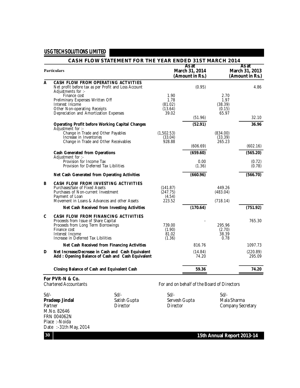|   | <b>CASH FLOW STATEMENT FOR THE YEAR ENDED 31ST MARCH 2014</b>                                         |                       |                                             |                     |                                            |  |
|---|-------------------------------------------------------------------------------------------------------|-----------------------|---------------------------------------------|---------------------|--------------------------------------------|--|
|   | <b>Particulars</b>                                                                                    |                       | As at<br>March 31, 2014<br>(Amount in Rs.)  |                     | As at<br>March 31, 2013<br>(Amount in Rs.) |  |
| Α | CASH FLOW FROM OPERATING ACTVITIES<br>Net profit before tax as per Profit and Loss Account            |                       | (0.95)                                      |                     | 4.86                                       |  |
|   | Adjustments for :-<br>Finance cost                                                                    | 1.90                  |                                             | 2.70                |                                            |  |
|   | Preliminary Expenses Written Off<br>Interest Income                                                   | 1.78<br>(81.02)       |                                             | 1.97<br>(38.39)     |                                            |  |
|   | Other Non-operating Receipts                                                                          | (13.64)               |                                             | (0.15)              |                                            |  |
|   | Depreciation and Amortization Expenses                                                                | 39.02                 | (51.96)                                     | 65.97               | 32.10                                      |  |
|   | <b>Operating Profit before Working Capital Changes</b><br>Adjustment for :-                           |                       | (52.91)                                     |                     | 36.96                                      |  |
|   | Change in Trade and Other Payables<br>Increase in Inventories                                         | (1,502.53)<br>(33.04) |                                             | (834.00)<br>(33.39) |                                            |  |
|   | Change in Trade and Other Receivables                                                                 | 928.88                |                                             | 265.23              |                                            |  |
|   |                                                                                                       |                       | (606.69)                                    |                     | (602.16)                                   |  |
|   | <b>Cash Generated from Operations</b><br>Adjustment for :-                                            |                       | (659.60)                                    |                     | (565.20)                                   |  |
|   | Provision for Income Tax<br>Provision for Deferred Tax Libilities                                     |                       | 0.00<br>(1.36)                              |                     | (0.72)<br>(0.78)                           |  |
|   | Net Cash Generated from Operating Activities                                                          |                       | (660.96)                                    |                     | (566.70)                                   |  |
| В | CASH FLOW FROM INVESTING ACTIVITIES                                                                   |                       |                                             |                     |                                            |  |
|   | Purchases/Sale of Fixed Assets<br>Purchases of Non-current Investment                                 | (141.87)<br>(247.75)  |                                             | 449.26<br>(483.04)  |                                            |  |
|   | Payment of Loan                                                                                       | (4.54)                |                                             |                     |                                            |  |
|   | Movement in Loans & Advances and other Assets                                                         | 223.52                |                                             | (718.14)            |                                            |  |
|   | Net Cash Received from Investing Activities                                                           |                       | (170.64)                                    |                     | (751.92)                                   |  |
| C | <b>CASH FLOW FROM FINANCING ACTIVITIES</b><br>Proceeds from Issue of Share Capital                    |                       |                                             |                     | 765.30                                     |  |
|   | Proceeds from Long Term Borrowings                                                                    | 739.00                |                                             | 295.96              |                                            |  |
|   | Finance cost<br>Interest Income                                                                       | (1.90)<br>81.02       |                                             | (2.70)<br>38.39     |                                            |  |
|   | Increase in Deferred Tax Libilities                                                                   | (1.36)                |                                             | 0.78                |                                            |  |
|   | Net Cash Received from Financing Activities                                                           |                       | 816.76                                      |                     | 1097.73                                    |  |
| D | Net Increase/Decrease in Cash and Cash Equivalent<br>Add: Opening Balance of Cash and Cash Equivalent |                       | (14.84)<br>74.20                            |                     | (220.89)<br>295.09                         |  |
|   | Closing Balance of Cash and Equivalent Cash                                                           |                       | 59.36                                       |                     | 74.20                                      |  |
|   | For PVR-N & Co.                                                                                       |                       |                                             |                     |                                            |  |
|   | <b>Chartered Accountants</b>                                                                          |                       | For and on behalf of the Board of Directors |                     |                                            |  |
|   |                                                                                                       |                       |                                             |                     |                                            |  |

Sd/- Sd/- Sd/- Sd/- **Pradeep Jindal** Satish Gupta Sare Sare Servesh Gupta<br> **Pradeep Jindal** Satish Gupta Servesh Gupta Mala Sharma<br>
Partner Company Secured Director Director Company Secured A Company Secretary M.No. 82646 FRN 004062N Place :-Noida Date :-31th May, 2014

**15th Annual Report 2013-14**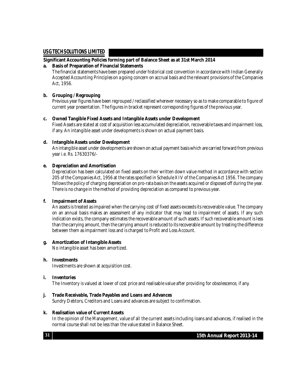#### **Significant Accounting Policies forming part of Balance Sheet as at 31st March 2014**

#### **a. Basis of Preparation of Financial Statements**

The financial statements have been prepared under historical cost convention in accordance with Indian Generally Accepted Accounting Principles on a going concern on accrual basis and the relevant provisions of the Companies Act, 1956.

#### **b. Grouping / Regrouping**

Previous year figures have been regrouped / reclassified wherever necessary so as to make comparable to figure of current year presentation. The figures in bracket represent corresponding figures of the previous year.

#### **c. Owned Tangible Fixed Assets and Intangible Assets under Development**

Fixed Assets are stated at cost of acquisition less accumulated depreciation, recoverable taxes and impairment loss, if any. An intangible asset under developments is shown on actual payment basis.

#### **d. Intangible Assets under Development**

An intangible asset under developments are shown on actual payment basiswhich arecarried forward from previous year i.e. Rs. 17630376/-

#### **e. Depreciation and Amortisation**

Depreciation has been calculated on fixed assets on their written down value method in accordance with section 205 of the Companies Act, 1956 at therates specified in Schedule XIV of the Companies Act 1956. The company follows the policy of charging depreciation on pro-rata basis on the assets acquired or disposed off during the year. There is no change in the method of providing depreciation as compared to previous year.

#### **f. Impairment of Assets**

An assets is treated as impaired when the carrying cost of fixed assets exceeds its recoverable value. The company on an annual basis makes an assessment of any indicator that may lead to impairment of assets. If any such indication exists, the company estimates the recoverable amount of such assets. If such recoverable amount is less than the carrying amount, then the carrying amount is reduced to its recoverable amount by treating the difference between them as impairment loss and is charged to Profit and Loss Account.

#### **g. Amortization of Intangible Assets**

No intangible asset has been amortized.

#### **h. Investments**

Investments are shown at acquisition cost.

#### **i. Inventories**

The Inventory is valued at lower of cost price and realisable value after providing for obsolescence, if any.

#### **j. Trade Receivable, Trade Payables and Loans and Advances**

Sundry Debtors, Creditors and Loans and advances are subject to confirmation.

#### **k. Realisation value of Current Assets**

In the opinion of the Management, value of all the current assets including loans and advances, if realised in the normal course shall not be less than the value stated in Balance Sheet.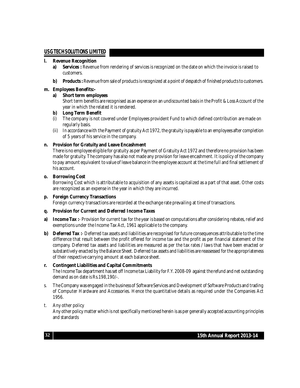#### **l. Revenue Recognition**

- **a) Services :** Revenue from rendering of services is recognized on the date on which the invoice is raised to customers.
- **b)** Products: Revenue from sale of products is recognized at a point of despatch of finished products to customers.

#### **m. Employees Benefits:-**

#### **a) Short term employees**

Short term benefits arerecognised as an expense on an undiscounted basis in the Profit & Loss Account of the year in which the related it is rendered.

#### **b) Long Term Benefit**

- (i) The company is not covered under Employees provident Fund to which defined contribution are made on regularly basis.
- (ii) In accordancewith the Payment of gratuity Act 1972, the gratuity is payableto an employees aftercompletion of 5 years of his service in the company.

#### **n. Provision for Gratuity and Leave Encashment**

There is no employee eligible for gratuity as per Payment of Gratuity Act 1972 and therefore no provision has been made for gratuity. The company has also not made any provision for leave encashment. It is policy of the company to pay amount equivalent to value of leave balance in the employee account at the time full and final settlement of his account.

#### **o. Borrowing Cost**

Borrowing Cost which is attributable to acquisition of any assets is capitalized as a part of that asset. Other costs are recognized as an expense in the year in which they are incurred.

#### **p. Foreign Currency Transactions**

Foreign currency transactions are recorded at the exchange rate prevailing at time of transactions.

#### **q. Provision for Current and Deferred Income Taxes**

- **a) Income Tax** :- Provision for current tax for the year is based on computations after considering rebates, relief and exemptions under the Income Tax Act, 1961 applicable to the company.
- **b) Deferred Tax** :- Deferred tax assets and liabilities are recognised for future consequences attributable to the time difference that result between the profit offered for income tax and the profit as per financial statement of the company. Deferred tax assets and liabilities are measured as per the tax rates / laws that have been enacted or substantively enacted by the Balance Sheet. Deferred tax assets and liabilities arereassessed for the appropriateness of their respective carrying amount ateach balance sheet.

#### **r. Contingent Liabilities and Capital Commitments**

The Income Tax department has set off Income tax Liability for F.Y. 2008-09 against the refund and net outstanding demand as on date is Rs.198,190/-.

s. The Company wasengaged in the business of Software Services and Development of Software Products and trading of Computer Hardware and Accessories. Hence the quantitative details as required under the Companies Act 1956.

#### t. Any other policy

Any other policy matter which is not specifically mentioned herein is as per generally accepted accounting principles and standards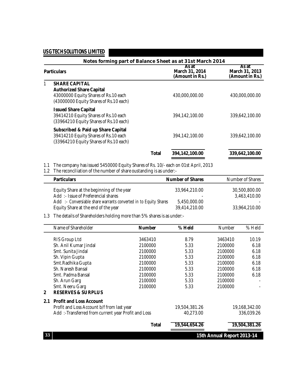| Notes forming part of Balance Sheet as at 31st March 2014                                                                                 |       |                                            |                                            |  |  |  |
|-------------------------------------------------------------------------------------------------------------------------------------------|-------|--------------------------------------------|--------------------------------------------|--|--|--|
| <b>Particulars</b>                                                                                                                        |       | As at<br>March 31, 2014<br>(Amount in Rs.) | As at<br>March 31, 2013<br>(Amount in Rs.) |  |  |  |
| <b>SHARE CAPITAL</b><br><b>Authorized Share Capital</b><br>43000000 Equity Shares of Rs.10 each<br>(43000000 Equity Shares of Rs.10 each) |       | 430,000,000.00                             | 430,000,000.00                             |  |  |  |
| <b>Issued Share Capital</b><br>39414210 Equity Shares of Rs.10 each<br>(33964210 Equity Shares of Rs.10 each)                             |       | 394,142,100.00                             | 339.642.100.00                             |  |  |  |
| Subscribed & Paid up Share Capital<br>39414210 Equity Shares of Rs.10 each<br>(33964210 Equity Shares of Rs.10 each)                      |       | 394.142.100.00                             | 339.642.100.00                             |  |  |  |
|                                                                                                                                           | Total | 394,142,100.00                             | 339,642,100.00                             |  |  |  |

1.1 The company has issued 5450000 Equity Shares of Rs. 10/-each on 01st April, 2013

1.2 The reconciliation of the number of share oustanding is as under:-

| <b>Particulars</b>                                               | <b>Number of Shares</b> | Number of Shares |
|------------------------------------------------------------------|-------------------------|------------------|
| Equity Share at the beginning of the year                        | 33.964.210.00           | 30,500,800,00    |
| Add :- Issue of Preferencial shares                              | ۰                       | 3,463,410.00     |
| Add :- Conversiable share warrants converted in to Equity Shares | 5.450.000.00            |                  |
| Equity Share at the end of the year                              | 39,414,210.00           | 33.964.210.00    |

#### 1.3 The details of Shareholders holding more than 5% shares is as under:-

|                | Name of Shareholder                                 | <b>Number</b> | % Held        | <b>Number</b>              | % Held        |
|----------------|-----------------------------------------------------|---------------|---------------|----------------------------|---------------|
|                | RIS Group Ltd                                       | 3463410       | 8.79          | 3463410                    | 10.19         |
|                | Sh. Anil Kumar Jindal                               | 2100000       | 5.33          | 2100000                    | 6.18          |
|                | Smt. Sunita Jindal                                  | 2100000       | 5.33          | 2100000                    | 6.18          |
|                | Sh. Vipin Gupta                                     | 2100000       | 5.33          | 2100000                    | 6.18          |
|                | Smt.Radhika Gupta                                   | 2100000       | 5.33          | 2100000                    | 6.18          |
|                | <b>Sh. Naresh Bansal</b>                            | 2100000       | 5.33          | 2100000                    | 6.18          |
|                | Smt. Padma Bansal                                   | 2100000       | 5.33          | 2100000                    | 6.18          |
|                | Sh. Arun Garg                                       | 2100000       | 5.33          | 2100000                    |               |
|                | Smt. Neeru Garg                                     | 2100000       | 5.33          | 2100000                    |               |
| $\overline{2}$ | <b>RESERVES &amp; SURPLUS</b>                       |               |               |                            |               |
| 2.1            | <b>Profit and Loss Account</b>                      |               |               |                            |               |
|                | Profit and Loss Account b/f from last year          |               | 19,504,381.26 |                            | 19,168,342.00 |
|                | Add: -Transferred from current year Profit and Loss |               | 40,273.00     |                            | 336,039.26    |
|                |                                                     | <b>Total</b>  | 19,544,654.26 |                            | 19,504,381.26 |
| 33             |                                                     |               |               | 15th Annual Report 2013-14 |               |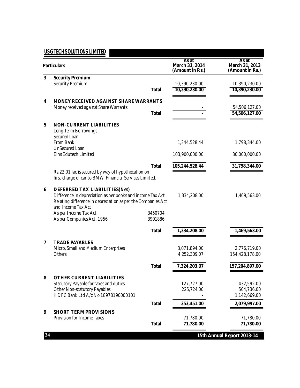|                         | <b>Particulars</b>                                                                                                                                                                |                    | As at<br>March 31, 2014<br>(Amount in Rs.) | As at<br>March 31, 2013<br>(Amount in Rs.) |
|-------------------------|-----------------------------------------------------------------------------------------------------------------------------------------------------------------------------------|--------------------|--------------------------------------------|--------------------------------------------|
| 3                       | <b>Security Premium</b><br><b>Security Premium</b>                                                                                                                                | <b>Total</b>       | 10,390,230.00<br>10,390,230.00             | 10,390,230.00<br>10,390,230.00             |
| 4                       | MONEY RECEIVED AGAINST SHARE WARRANTS<br>Money received against Share Warrants                                                                                                    | <b>Total</b>       |                                            | 54,506,127.00<br>54,506,127.00             |
| 5                       | <b>NON-CURRENT LIABILITIES</b><br>Long Term Borrowings<br>Secured Loan                                                                                                            |                    |                                            |                                            |
|                         | From Bank<br><b>UnSecured Loan</b>                                                                                                                                                |                    | 1,344,528.44                               | 1,798,344.00                               |
|                         | <b>Eins Edutech Limited</b>                                                                                                                                                       |                    | 103,900,000.00                             | 30,000,000.00                              |
|                         | Rs.22.01 lac is secured by way of hypothecation on                                                                                                                                | <b>Total</b>       | 105,244,528.44                             | 31,798,344.00                              |
|                         | first charge of car to BMW Financial Services Limited.                                                                                                                            |                    |                                            |                                            |
| 6                       | DEFERRED TAX LIABILITIES(Net)<br>Difference in depreciation as per books and income Tax Act<br>Relating difference in depreciation as per the Companies Act<br>and Income Tax Act |                    | 1,334,208.00                               | 1,469,563.00                               |
|                         | As per Income Tax Act<br>As per Companies Act, 1956                                                                                                                               | 3450704<br>3901886 |                                            |                                            |
|                         |                                                                                                                                                                                   | <b>Total</b>       | 1,334,208.00                               | 1,469,563.00                               |
| $\overline{\mathbf{z}}$ | <b>TRADE PAYABLES</b><br>Micro, Small and Medium Enterprises<br>Others                                                                                                            |                    | 3,071,894.00<br>4,252,309.07               | 2,776,719.00<br>154,428,178.00             |
|                         |                                                                                                                                                                                   | <b>Total</b>       | 7,324,203.07                               | 157,204,897.00                             |
| 8                       | <b>OTHER CURRENT LIABILITIES</b>                                                                                                                                                  |                    |                                            |                                            |
|                         | Statutory Payable for taxes and duties<br>Other Non-statutory Payables<br>HDFC Bank Ltd A/c No 18978190000101                                                                     |                    | 127,727.00<br>225,724.00                   | 432,592.00<br>504,736.00<br>1,142,669.00   |
|                         |                                                                                                                                                                                   | <b>Total</b>       | 353,451.00                                 | 2,079,997.00                               |
| 9                       | <b>SHORT TERM PROVISIONS</b><br>Provision for Income Taxes                                                                                                                        | <b>Total</b>       | 71,780.00<br>71,780.00                     | 71,780.00<br>71,780.00                     |
| 34                      |                                                                                                                                                                                   |                    |                                            | 15th Annual Report 2013-14                 |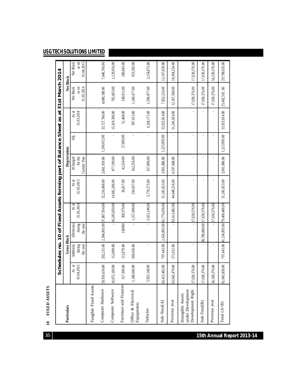|                                                             |                |                    |                                         |               | Schedules no. 10 of Fixed Assets forming part of Balance Sheet as at 31st March 2014 |              |              |               |               |               |
|-------------------------------------------------------------|----------------|--------------------|-----------------------------------------|---------------|--------------------------------------------------------------------------------------|--------------|--------------|---------------|---------------|---------------|
| Particulars                                                 |                | <b>Gross Block</b> |                                         |               |                                                                                      | Depreciation |              |               | Net Block     |               |
|                                                             | As at          | Additions          | (Deletion)                              | As at         | As at                                                                                | ACharged     | ä.           | As at         | Net Block     | Net Block     |
|                                                             | 01.04.2013     | during             | during                                  | 31.03.2014    | 31.03.2013                                                                           | for the      |              | 31.03.2014    | as on         | as on         |
|                                                             |                | the year           | the year                                |               |                                                                                      | Current Year |              |               | 31.03.2014    | 01.04.2013    |
| Tangible Fixed Assets                                       |                |                    |                                         |               |                                                                                      |              |              |               |               |               |
| Computer Hadware                                            | 39,910,634.00  | 202,215.00         | 2,304,895.00 37,807,954.00              |               | 32,216,868.00                                                                        | 2,661,910.00 | 1,196,012.00 | 33,727,766.00 | 4,080,188.00  | 7,648,766.00  |
| Computer Software                                           | 16,072,160.00  | 112,899.00         |                                         | 16,185,059.00 | 14,942,206.00                                                                        | 477,190.00   |              | 15,419,396.00 | 765,663.00    | 1,129,954.00  |
| Furniture and Fixtures                                      | 317,500.00     | 112,879.00         | 130000                                  | 300,379.00    | 36,817.00                                                                            | 42,534.00    | 27,883.00    | 51,468.00     | 248,911.00    | 280,683.00    |
| Office & Electrical<br>Equipments                           | 88,040.00<br>⇉ | 369,450.00         |                                         | 1,557,490.00  | 234,657.00                                                                           | 162,356.00   |              | 397,013.00    | 1,160,477.00  | 953,383.00    |
| Vehicles                                                    | 5,925,148.00   |                    |                                         | 5,925,148.00  | 3,770,275.00                                                                         | 557,896.00   |              | 4,328,171.00  | 1,596,977.00  | 2,154,873.00  |
| Sub-Total(A)                                                | 63,413,482.00  | 797,443.00         | 2,434,895.00 61,776,030.00              |               | 51,245,823.00                                                                        | 3,901,886.00 | 1,223,895.00 | 53,923,814.00 | 7,852,216.00  | 12,167,659.00 |
| Previous year                                               | 63,042,470.00  | 371,012.00         |                                         | 63,413,482.00 | 44,648,216.00                                                                        | 6,597,608.00 |              | 51,245,824.00 | 12,167,568.00 | 18,394,254.00 |
| under Development<br>Development Right<br>Intangible Assets | 17,630,376.00  |                    |                                         | 17,630,376.00 |                                                                                      |              |              |               | 17,630,376.00 | 17,630,376.00 |
| $Sub-Total(B)$                                              | 17,630,376.00  |                    | 88,700,000.00                           | 17,630,376.00 |                                                                                      |              |              |               | 17,630,376.00 | 17,630,376.00 |
| Previous year                                               | 56,330,376.00  |                    |                                         | 17,630,376.00 |                                                                                      |              |              |               | 17,630,376.00 | 56,330,376.00 |
| Total $(A+B)$                                               | 81,043,858.00  |                    | 797,443.00   134,895.00   79,406,406.00 |               | 51,245,823.00                                                                        | 3,901,886.00 | 1,223,895.00 | 53,923,814.00 | 25,482,592.00 | 29,798,035.00 |

FIXED ASSETS **10 FIXED ASSETS**  $\overline{10}$ 

**1 5th A n n u al R eport 201 3- 1 4**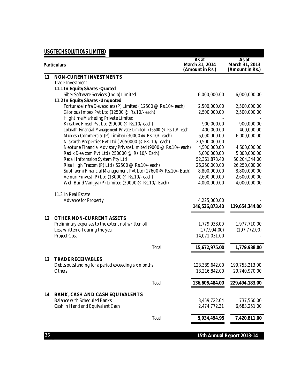|                                                                    | As at                             | As at                             |
|--------------------------------------------------------------------|-----------------------------------|-----------------------------------|
| <b>Particulars</b>                                                 | March 31, 2014<br>(Amount in Rs.) | March 31, 2013<br>(Amount in Rs.) |
| <b>NON-CURENT INVESTMENTS</b>                                      |                                   |                                   |
| 11<br>Trade Investment                                             |                                   |                                   |
| 11.1 In Equity Shares - Quoted                                     |                                   |                                   |
| Siber Software Services (India) Limited                            | 6,000,000.00                      | 6,000,000.00                      |
| 11.2 In Equity Shares - Unquoted                                   |                                   |                                   |
| Fortunate Infra Devepolers (P) Limited (12500 @ Rs.10/- each)      | 2,500,000.00                      | 2,500,000.00                      |
| Glorious Impex Pvt Ltd (12500 @ Rs.10/- each)                      | 2,500,000.00                      | 2,500,000.00                      |
| Hightime Marketing Private Limited                                 |                                   |                                   |
| Kreative Finsol Pvt Ltd (90000 @ Rs.10/-each)                      |                                   |                                   |
|                                                                    | 900,000.00                        | 900,000.00                        |
| Loknath Financial Management Private Limited (16600 @ Rs.10/- each | 400,000.00                        | 400,000.00                        |
| Mukesh Commercial (P) Limited (30000 @ Rs.10/- each)               | 6,000,000.00                      | 6,000,000.00                      |
| Niskarsh Properties Pvt Ltd (2050000 @ Rs. 10/- each)              | 20,500,000.00                     |                                   |
| Neptune Financial Advisory Private Limited (9000 @ Rs.10/- each)   | 4,500,000.00                      | 4,500,000.00                      |
| Radix Dealcom Pvt Ltd (250000 @ Rs.10/- Each)                      | 5,000,000.00                      | 5,000,000.00                      |
| Retail Informaion System Pty Ltd                                   | 52,361,873.40                     | 50,204,344.00                     |
| Rise High Tracom (P) Ltd (52500 @ Rs.10/- each)                    | 26,250,000.00                     | 26,250,000.00                     |
| Subhlaxmi Financial Management Pvt Ltd (17600 @ Rs.10/- Each)      | 8,800,000.00                      | 8,800,000.00                      |
| Vemuri Finvest (P) Ltd (13000 @ Rs.10/- each)                      | 2,600,000.00                      | 2,600,000.00                      |
| Well Build Vanijya (P) Limited (20000 @ Rs.10/- Each)              | 4,000,000.00                      | 4,000,000.00                      |
| 11.3 In Real Estate                                                |                                   |                                   |
| Advance for Property                                               | 4,225,000.00                      |                                   |
|                                                                    | 146,536,873.40                    | 119,654,344.00                    |
|                                                                    |                                   |                                   |
| <b>OTHER NON-CURRENT ASSETS</b><br>$12 \,$                         |                                   |                                   |
| Preliminary expenses to the extent not written off                 | 1,779,938.00                      | 1,977,710.00                      |
| Less written off during the year                                   | (177, 994.00)                     | (197, 772.00)                     |
| Project Cost                                                       | 14,071,031.00                     |                                   |
| Total                                                              | 15,672,975.00                     | 1,779,938.00                      |
| <b>TRADE RECEIVABLES</b><br>13                                     |                                   |                                   |
| Debts outstanding for a period exceeding six months                | 123,389,642.00                    | 199,753,213.00                    |
| <b>Others</b>                                                      | 13,216,842.00                     | 29,740,970.00                     |
|                                                                    |                                   |                                   |
| Total                                                              | 136,606,484.00                    | 229,494,183.00                    |
| 14<br><b>BANK, CASH AND CASH EQUIVALENTS</b>                       |                                   |                                   |
| <b>Balance with Scheduled Banks</b>                                | 3,459,722.64                      | 737,560.00                        |
| Cash in Hand and Equivalent Cash                                   | 2,474,772.31                      | 6,683,251.00                      |
|                                                                    |                                   |                                   |
| Total                                                              | 5,934,494.95                      | 7,420,811.00                      |

**15th Annual Report 2013-14**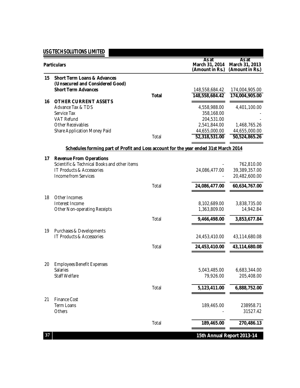|    | <b>Particulars</b>                                                                                                  |              | As at<br>March 31, 2014<br>(Amount in Rs.)     | As at<br>March 31, 2013<br>(Amount in Rs.)     |  |
|----|---------------------------------------------------------------------------------------------------------------------|--------------|------------------------------------------------|------------------------------------------------|--|
| 15 | <b>Short Term Loans &amp; Advances</b><br>(Unsecured and Considered Good)<br><b>Short Term Advances</b>             |              | 148,558,684.42                                 | 174,004,905.00                                 |  |
|    |                                                                                                                     | <b>Total</b> | 148,558,684.42                                 | 174,004,905.00                                 |  |
| 16 | <b>OTHER CURRENT ASSETS</b><br>Advance Tax & TDS<br>Service Tax<br><b>VAT Refund</b>                                |              | 4,558,988.00<br>358,168.00<br>204,531.00       | 4,401,100.00                                   |  |
|    | <b>Other Receivables</b><br><b>Share Application Money Paid</b>                                                     | Total        | 2,541,844.00<br>44,655,000.00<br>52,318,531.00 | 1,468,765.26<br>44,655,000.00<br>50,524,865.26 |  |
|    | Schedules forming part of Profit and Loss account for the year ended 31st March 2014                                |              |                                                |                                                |  |
|    | <b>Revenue From Operations</b><br>17                                                                                |              |                                                |                                                |  |
|    | Scientific & Technical Books and other items<br><b>IT Products &amp; Accessories</b><br><b>Income from Services</b> |              | 24,086,477.00                                  | 762,810.00<br>39,389,357.00<br>20,482,600.00   |  |
|    |                                                                                                                     | Total        | 24,086,477.00                                  | 60,634,767.00                                  |  |
| 18 | Other Incomes<br>Interest Income<br><b>Other Non-operating Receipts</b>                                             |              | 8,102,689.00<br>1,363,809.00                   | 3,838,735.00<br>14,942.84                      |  |
|    |                                                                                                                     | Total        | 9,466,498.00                                   | 3,853,677.84                                   |  |
| 19 | Purchases & Developments<br><b>IT Products &amp; Accessories</b>                                                    |              | 24,453,410.00                                  | 43,114,680.08                                  |  |
|    |                                                                                                                     | Total        | 24,453,410.00                                  | 43,114,680.08                                  |  |
|    |                                                                                                                     |              |                                                |                                                |  |
| 20 | <b>Employees Benefit Expenses</b><br><b>Salaries</b><br>Staff Welfare                                               |              | 5,043,485.00<br>79,926.00                      | 6,683,344.00<br>205,408.00                     |  |
|    |                                                                                                                     | Total        | 5,123,411.00                                   | 6,888,752.00                                   |  |
| 21 | <b>Finance Cost</b><br><b>Term Loans</b><br>Others                                                                  |              | 189,465.00                                     | 238958.71<br>31527.42                          |  |
|    |                                                                                                                     | Total        | 189,465.00                                     | 270,486.13                                     |  |
| 37 |                                                                                                                     |              | 15th Annual Report 2013-14                     |                                                |  |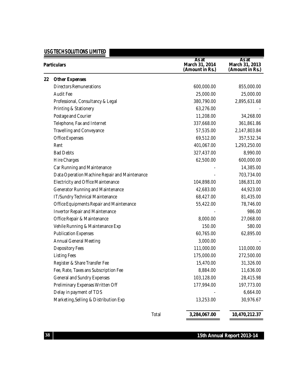|    | USG TECH SOLUTIONS LIMITED                      |                                            |                                            |
|----|-------------------------------------------------|--------------------------------------------|--------------------------------------------|
|    | <b>Particulars</b>                              | As at<br>March 31, 2014<br>(Amount in Rs.) | As at<br>March 31, 2013<br>(Amount in Rs.) |
| 22 | <b>Other Expenses</b>                           |                                            |                                            |
|    | <b>Directors Remunerations</b>                  | 600,000.00                                 | 855,000.00                                 |
|    | <b>Audit Fee</b>                                | 25,000.00                                  | 25,000.00                                  |
|    | Professional, Consultancy & Legal               | 380,790.00                                 | 2,895,631.68                               |
|    | Printing & Stationery                           | 63,276.00                                  |                                            |
|    | Postage and Courier                             | 11,208.00                                  | 34,268.00                                  |
|    | Telephone, Fax and Internet                     | 337,668.00                                 | 361,861.86                                 |
|    | <b>Travelling and Conveyance</b>                | 57,535.00                                  | 2,147,803.84                               |
|    | <b>Office Expenses</b>                          | 69,512.00                                  | 357,532.34                                 |
|    | Rent                                            | 401,067.00                                 | 1,293,250.00                               |
|    | <b>Bad Debts</b>                                | 327,437.00                                 | 8,990.00                                   |
|    | <b>Hire Charges</b>                             | 62,500.00                                  | 600,000.00                                 |
|    | Car Running and Maintenance                     |                                            | 14,385.00                                  |
|    | Data Operation Machine Repair and Maintenance   |                                            | 703,734.00                                 |
|    | <b>Electricity and Office Maintenance</b>       | 104,898.00                                 | 186,831.00                                 |
|    | Generator Running and Maintenance               | 42,683.00                                  | 44,923.00                                  |
|    | IT/Sundry Technical Maintenance                 | 68,427.00                                  | 81,435.00                                  |
|    | <b>Office Equipments Repair and Maintenance</b> | 55,422.00                                  | 78,746.00                                  |
|    | <b>Invertor Repair and Maintenance</b>          |                                            | 986.00                                     |
|    | Office Repair & Maintenance                     | 8,000.00                                   | 27,068.00                                  |
|    | Vehile Running & Maintenance Exp                | 150.00                                     | 580.00                                     |
|    | <b>Publication Expenses</b>                     | 60,765.00                                  | 62,895.00                                  |
|    | <b>Annual General Meeting</b>                   | 3,000.00                                   |                                            |
|    | <b>Depository Fees</b>                          | 111,000.00                                 | 110,000.00                                 |
|    | <b>Listing Fees</b>                             | 175,000.00                                 | 272,500.00                                 |
|    | Register & Share Transfer Fee                   | 15,470.00                                  | 31,326.00                                  |
|    | Fee, Rate, Taxes ans Subscription Fee           | 8,884.00                                   | 11,636.00                                  |
|    | <b>General and Sundry Expenses</b>              | 103,128.00                                 | 28,415.98                                  |
|    | Preliminary Expenses Written Off                | 177,994.00                                 | 197,773.00                                 |
|    | Delay in payment of TDS                         |                                            | 6,664.00                                   |
|    | Marketing, Selling & Distribution Exp           | 13,253.00                                  | 30,976.67                                  |
|    | Total                                           | 3,284,067.00                               | 10,470,212.37                              |

#### **15th Annual Report 2013-14**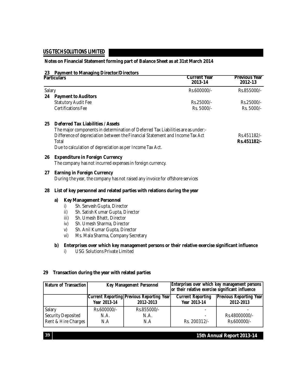#### **Notes on Financial Statement forming part of Balance Sheet as at 31st March 2014**

#### **23 Payment to Managing Director/Directors**

|        | <b>Particulars</b> |                                                                                  | <b>Current Year</b><br>2013-14 | <b>Previous Year</b><br>2012-13 |  |
|--------|--------------------|----------------------------------------------------------------------------------|--------------------------------|---------------------------------|--|
| Salary |                    |                                                                                  | Rs.600000/-                    | Rs.855000/-                     |  |
|        |                    | 24 Payment to Auditors                                                           |                                |                                 |  |
|        |                    | <b>Statutory Audit Fee</b>                                                       | Rs.25000/-                     | Rs.25000/-                      |  |
|        |                    | <b>Certifications Fee</b>                                                        | Rs. 5000/-                     | Rs. 5000/-                      |  |
| 25     |                    | <b>Deferred Tax Liabilities / Assets</b>                                         |                                |                                 |  |
|        |                    | The major components in determination of Deferred Tax Liabilities are as under:- |                                |                                 |  |
|        |                    | Difference of depreciation between the Financial Statement and Income Tax Act    |                                | Rs.451182/-                     |  |
|        | Total              |                                                                                  |                                | Rs.451182/-                     |  |
|        |                    | Due to calculation of depreciation as per Income Tax Act.                        |                                |                                 |  |
| 26     |                    | <b>Expenditure in Foreign Currency</b>                                           |                                |                                 |  |
|        |                    | The company has not incurred expenses in foreign currency.                       |                                |                                 |  |
| 27     |                    | <b>Earning in Foreign Currency</b>                                               |                                |                                 |  |
|        |                    | During the year, the company has not raised any invoice for offshore services    |                                |                                 |  |
| 28     |                    | List of key personnel and related parties with relations during the year         |                                |                                 |  |
|        | a)                 | <b>Key Management Personnel</b>                                                  |                                |                                 |  |
|        | i)                 | Sh. Servesh Gupta, Director                                                      |                                |                                 |  |
|        | ii)                | Sh. Satish Kumar Gupta, Director                                                 |                                |                                 |  |
|        | iii)               | Sh. Umesh Bhatt, Director                                                        |                                |                                 |  |
|        | iv)                | Sh. Umesh Sharma, Director                                                       |                                |                                 |  |
|        | V)                 | Sh. Anil Kumar Gupta, Director                                                   |                                |                                 |  |
|        | vi)                | Ms. Mala Sharma, Company Secretary                                               |                                |                                 |  |

#### **b) Enterprises over which key management persons or their relative exercise significant influence**

i) USG Solutions Private Limited

#### **29 Transaction during the year with related parties**

| Nature of Transaction     |              | <b>Key Management Personnel</b>                        | Enterprises over which key management persons<br>or their relative exercise significant influence<br><b>Current Reporting</b> |                                             |  |
|---------------------------|--------------|--------------------------------------------------------|-------------------------------------------------------------------------------------------------------------------------------|---------------------------------------------|--|
|                           | Year 2013-14 | Current Reporting Previous Reporting Year<br>2012-2013 |                                                                                                                               | <b>Previous Reporting Year</b><br>2012-2013 |  |
| Salary                    | Rs.600000/-  | Rs.855000/-                                            |                                                                                                                               |                                             |  |
| <b>Security Deposited</b> | N.A.         | N.A.                                                   |                                                                                                                               | Rs.48000000/-                               |  |
| Rent & Hire Charges       | N.A          | N.A                                                    | Rs. 200312/-                                                                                                                  | Rs.600000/-                                 |  |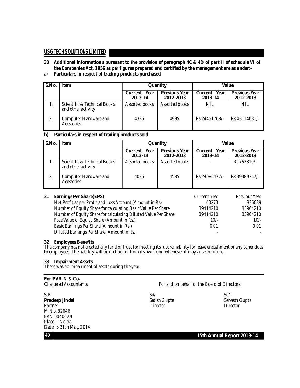- 30 Additional information's pursuant to the provision of paragraph 4C & 4D of part II of schedule VI of **the Companies Act, 1956 as per figures prepared and certified by the management are as under:-**
- **a) Particulars in respect of trading products purchased**

| l S.No.          | <b>Item</b>                                        |                            | Quantity                          | Value                             |                                   |
|------------------|----------------------------------------------------|----------------------------|-----------------------------------|-----------------------------------|-----------------------------------|
|                  |                                                    | Year<br>Current<br>2013-14 | <b>Previous Year</b><br>2012-2013 | Year<br><b>Current</b><br>2013-14 | <b>Previous Year</b><br>2012-2013 |
|                  | Scientific & Technical Books<br>and other activity | Assorted books             | Assorted books                    | NIL                               | NIL                               |
| $\overline{2}$ . | Computer Hardware and<br>Acessories                | 4325                       | 4995                              | Rs.24451768/-                     | Rs.43114680/-                     |

#### **b) Particulars in respect of trading products sold**

| S.No.            | <b>Item</b>                                        | Quantity                   |                                   | Value                             |                                   |
|------------------|----------------------------------------------------|----------------------------|-----------------------------------|-----------------------------------|-----------------------------------|
|                  |                                                    | Year<br>Current<br>2013-14 | <b>Previous Year</b><br>2012-2013 | Year<br><b>Current</b><br>2013-14 | <b>Previous Year</b><br>2012-2013 |
|                  | Scientific & Technical Books<br>and other activity | Assorted books             | Assorted books                    |                                   | Rs.762810/-                       |
| $\overline{2}$ . | Computer Hardware and<br>Acessories                | 4025                       | 4585                              | Rs.24086477/-                     | Rs.39389357/-                     |

| 31 | <b>Earnings Per Share(EPS)</b>                                 | Current Year | Previous Year |
|----|----------------------------------------------------------------|--------------|---------------|
|    | Net Profit as per Profit and Loss Account (Amount in Rs)       | 40273        | 336039        |
|    | Number of Equity Share for calculating Basic Value Per Share   | 39414210     | 33964210      |
|    | Number of Equity Share for calculating Diluted Value Per Share | 39414210     | 33964210      |
|    | Face Value of Equity Share (Amount in Rs.)                     | $10/-$       | $10/-$        |
|    | Basic Earnings Per Share (Amount in Rs.)                       | 0.01         | 0.01          |
|    | Diluted Earnings Per Share (Amount in Rs.)                     |              |               |

#### **32 Employees Benefits**

The company has not created any fund or trust for meeting its future liability for leave encashment or any other dues to employees. The liability will be met out of from its own fund whenever it may arise in future.

#### **33 Impairment Assets**

There was no impairment of assets during the year.

## **For PVR-N & Co.**

For and on behalf of the Board of Directors

Sd/- Sd/- Sd/- **Pradeep Jindal** Satish Gupta Satish Gupta Servesh Gupta<br>
Partner Servesh Gupta Servesh Gupta Servesh Gupta Servesh Gupta Servesh Gupta Servesh Gupta Servesh Gupta Servesh Partner Director Director Director Director Director Director Director Director M.No. 82646 FRN 004062N Place :-Noida Date :-31th May, 2014

**40 15th Annual Report 2013-14**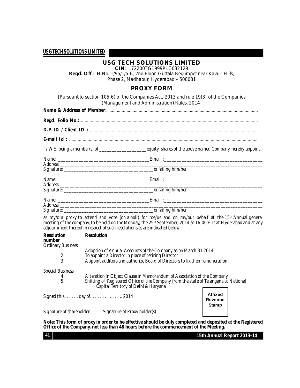#### **USG TECH SOLUTIONS LIMITED**

**CIN**: L72200TG1999PLC032129

**Regd. Off**.: H.No. 1/95/1/5-6, 2nd Floor, Guttala Begumpet near Kavuri Hills, Phase 2, Madhapur, Hyderabad – 500081

#### **PROXY FORM**

[Pursuant to section 105(6) of the Companies Act, 2013 and rule 19(3) of the Companies (Management and Administration) Rules, 2014]

| ___________________or failing him/her |
|---------------------------------------|

as my/our proxy to attend and vote (on a poll) for me/us and on my/our behalf at the 15 th Annual general meeting of the company, to be held on the Monday, the 29th September, 2014 at 16:00 Hrs at Hyderabad and at any adjournment thereof in respect of such resolutions as are indicated below :

| <b>Resolution</b><br>number | <b>Resolution</b>                                                                                                            |                                  |  |
|-----------------------------|------------------------------------------------------------------------------------------------------------------------------|----------------------------------|--|
| <b>Ordinary Business</b>    |                                                                                                                              |                                  |  |
|                             | Adoption of Annual Accounts of the Company as on March, 31 2014                                                              |                                  |  |
| $\overline{c}$              | To appoint a Director in place of retiring Director                                                                          |                                  |  |
| 3                           | Appoint auditors and authorize Board of Directors to fix their remuneration.                                                 |                                  |  |
| <b>Special Business</b>     |                                                                                                                              |                                  |  |
|                             | Alteration in Object Clause in Memorandum of Association of the Company                                                      |                                  |  |
| 4<br>5                      | Shifting of Registered Office of the Company from the state of Telangana to National<br>Capital Territory of Delhi & Haryana |                                  |  |
| Signed thisday of 2014      |                                                                                                                              | <b>Affixed</b><br><b>Revenue</b> |  |
| Signature of shareholder    | Signature of Proxy holder(s)                                                                                                 | <b>Stamp</b>                     |  |

Note: This form of proxy in order to be effective should be duly completed and deposited at the Registered **Office of the Company, not less than 48 hours before the commencement of the Meeting.**

**15th Annual Report 2013-14**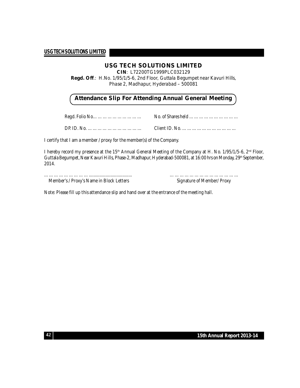#### **USG TECH SOLUTIONS LIMITED**

**CIN**: L72200TG1999PLC032129

**Regd. Off**.: H.No. 1/95/1/5-6, 2nd Floor, Guttala Begumpet near Kavuri Hills, Phase 2, Madhapur, Hyderabad – 500081

#### **Attendance Slip For Attending Annual General Meeting**

Regd. Folio No………………………… No. of Shares held …………………………

DP. ID. No. …………………………… Client ID. No. ……………………………

I certify that I am a member / proxy for the member(s) of the Company.

I hereby record my presence at the 15<sup>th</sup> Annual General Meeting of the Company at H. No. 1/95/1/5-6, 2<sup>nd</sup> Floor, Guttala Begumpet, Near Kavuri Hills, Phase-2, Madhapur, Hyderabad-500081, at 16:00 hrs on Monday, 29th September, 2014.

……………………….................................... …………………………………… Member's / Proxy's Name in Block Letters Signature of Member/ Proxy

Note: Please fill up this attendance slip and hand over at the entrance of the meeting hall.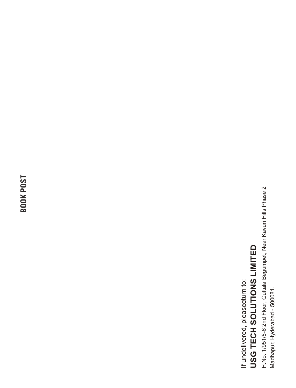**BOOK POST**

USG TECH SOLUTIONS LIMITED **USG TECH SOLUTIONS LIMITED** If undelivered, pleasee turn to: If undelivered, please rum to:

H.No. 1/951/5-6 2nd Floor, Guttala Begumpet, Near Kavuri Hills Phase 2 H.No. 1/951/5-6 2nd Floor, Guttala Begumpet, Near Kavuri Hills Phase 2 Madhapur, Hyderabad - 500081. Madhapur, Hyderabad - 500081.